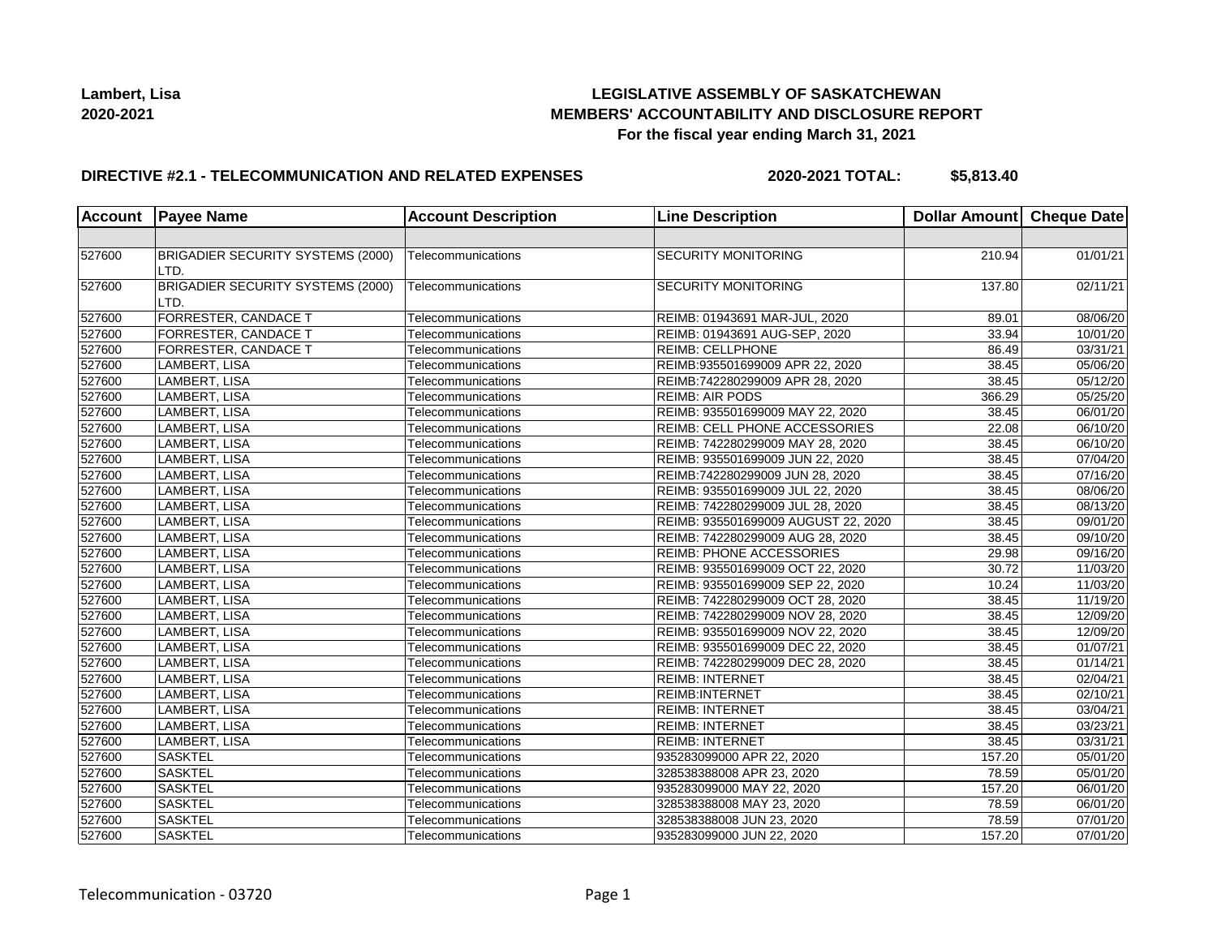

## **LEGISLATIVE ASSEMBLY OF SASKATCHEWAN MEMBERS' ACCOUNTABILITY AND DISCLOSURE REPORT For the fiscal year ending March 31, 2021**

### **DIRECTIVE #2.1 - TELECOMMUNICATION AND RELATED EXPENSES**

**2020-2021 TOTAL: \$5,813.40**

| <b>Account</b> | <b>Payee Name</b>                         | <b>Account Description</b> | <b>Line Description</b>             | Dollar Amount   Cheque Date |                        |
|----------------|-------------------------------------------|----------------------------|-------------------------------------|-----------------------------|------------------------|
|                |                                           |                            |                                     |                             |                        |
| 527600         | BRIGADIER SECURITY SYSTEMS (2000)<br>LTD. | Telecommunications         | <b>SECURITY MONITORING</b>          | 210.94                      | 01/01/21               |
| 527600         | BRIGADIER SECURITY SYSTEMS (2000)<br>LTD. | Telecommunications         | <b>SECURITY MONITORING</b>          | 137.80                      | 02/11/21               |
| 527600         | <b>FORRESTER, CANDACE T</b>               | Telecommunications         | REIMB: 01943691 MAR-JUL, 2020       | 89.01                       | 08/06/20               |
| 527600         | <b>FORRESTER, CANDACE T</b>               | Telecommunications         | REIMB: 01943691 AUG-SEP, 2020       | 33.94                       | 10/01/20               |
| 527600         | FORRESTER, CANDACE T                      | Telecommunications         | <b>REIMB: CELLPHONE</b>             | 86.49                       | 03/31/21               |
| 527600         | LAMBERT, LISA                             | Telecommunications         | REIMB:935501699009 APR 22, 2020     | 38.45                       | 05/06/20               |
| 527600         | LAMBERT, LISA                             | Telecommunications         | REIMB:742280299009 APR 28, 2020     | 38.45                       | $\overline{05/12/20}$  |
| 527600         | LAMBERT, LISA                             | Telecommunications         | <b>REIMB: AIR PODS</b>              | 366.29                      | 05/25/20               |
| 527600         | LAMBERT, LISA                             | Telecommunications         | REIMB: 935501699009 MAY 22, 2020    | 38.45                       | 06/01/20               |
| 527600         | LAMBERT, LISA                             | Telecommunications         | REIMB: CELL PHONE ACCESSORIES       | 22.08                       | 06/10/20               |
| 527600         | LAMBERT, LISA                             | Telecommunications         | REIMB: 742280299009 MAY 28, 2020    | 38.45                       | 06/10/20               |
| 527600         | LAMBERT, LISA                             | Telecommunications         | REIMB: 935501699009 JUN 22, 2020    | 38.45                       | 07/04/20               |
| 527600         | LAMBERT, LISA                             | Telecommunications         | REIMB:742280299009 JUN 28, 2020     | 38.45                       | 07/16/20               |
| 527600         | LAMBERT, LISA                             | Telecommunications         | REIMB: 935501699009 JUL 22, 2020    | 38.45                       | 08/06/20               |
| 527600         | LAMBERT, LISA                             | Telecommunications         | REIMB: 742280299009 JUL 28, 2020    | 38.45                       | 08/13/20               |
| 527600         | LAMBERT, LISA                             | Telecommunications         | REIMB: 935501699009 AUGUST 22, 2020 | 38.45                       | 09/01/20               |
| 527600         | LAMBERT, LISA                             | Telecommunications         | REIMB: 742280299009 AUG 28, 2020    | 38.45                       | 09/10/20               |
| 527600         | LAMBERT, LISA                             | Telecommunications         | <b>REIMB: PHONE ACCESSORIES</b>     | 29.98                       | 09/16/20               |
| 527600         | LAMBERT, LISA                             | Telecommunications         | REIMB: 935501699009 OCT 22, 2020    | 30.72                       | 11/03/20               |
| 527600         | LAMBERT, LISA                             | Telecommunications         | REIMB: 935501699009 SEP 22, 2020    | 10.24                       | 11/03/20               |
| 527600         | <b>LAMBERT, LISA</b>                      | Telecommunications         | REIMB: 742280299009 OCT 28, 2020    | 38.45                       | 11/19/20               |
| 527600         | LAMBERT, LISA                             | Telecommunications         | REIMB: 742280299009 NOV 28, 2020    | 38.45                       | 12/09/20               |
| 527600         | LAMBERT, LISA                             | Telecommunications         | REIMB: 935501699009 NOV 22, 2020    | 38.45                       | 12/09/20               |
| 527600         | LAMBERT, LISA                             | Telecommunications         | REIMB: 935501699009 DEC 22, 2020    | 38.45                       | 01/07/21               |
| 527600         | LAMBERT, LISA                             | Telecommunications         | REIMB: 742280299009 DEC 28, 2020    | 38.45                       | 01/14/21               |
| 527600         | LAMBERT, LISA                             | Telecommunications         | <b>REIMB: INTERNET</b>              | 38.45                       | 02/04/21               |
| 527600         | LAMBERT, LISA                             | Telecommunications         | <b>REIMB:INTERNET</b>               | 38.45                       | $\overline{0}$ 2/10/21 |
| 527600         | LAMBERT, LISA                             | Telecommunications         | <b>REIMB: INTERNET</b>              | 38.45                       | 03/04/21               |
| 527600         | LAMBERT, LISA                             | Telecommunications         | <b>REIMB: INTERNET</b>              | 38.45                       | 03/23/21               |
| 527600         | LAMBERT, LISA                             | Telecommunications         | <b>REIMB: INTERNET</b>              | 38.45                       | 03/31/21               |
| 527600         | <b>SASKTEL</b>                            | Telecommunications         | 935283099000 APR 22, 2020           | 157.20                      | 05/01/20               |
| 527600         | <b>SASKTEL</b>                            | Telecommunications         | 328538388008 APR 23, 2020           | 78.59                       | 05/01/20               |
| 527600         | <b>SASKTEL</b>                            | Telecommunications         | 935283099000 MAY 22, 2020           | 157.20                      | 06/01/20               |
| 527600         | <b>SASKTEL</b>                            | Telecommunications         | 328538388008 MAY 23, 2020           | 78.59                       | 06/01/20               |
| 527600         | <b>SASKTEL</b>                            | Telecommunications         | 328538388008 JUN 23, 2020           | 78.59                       | 07/01/20               |
| 527600         | <b>SASKTEL</b>                            | Telecommunications         | 935283099000 JUN 22, 2020           | 157.20                      | 07/01/20               |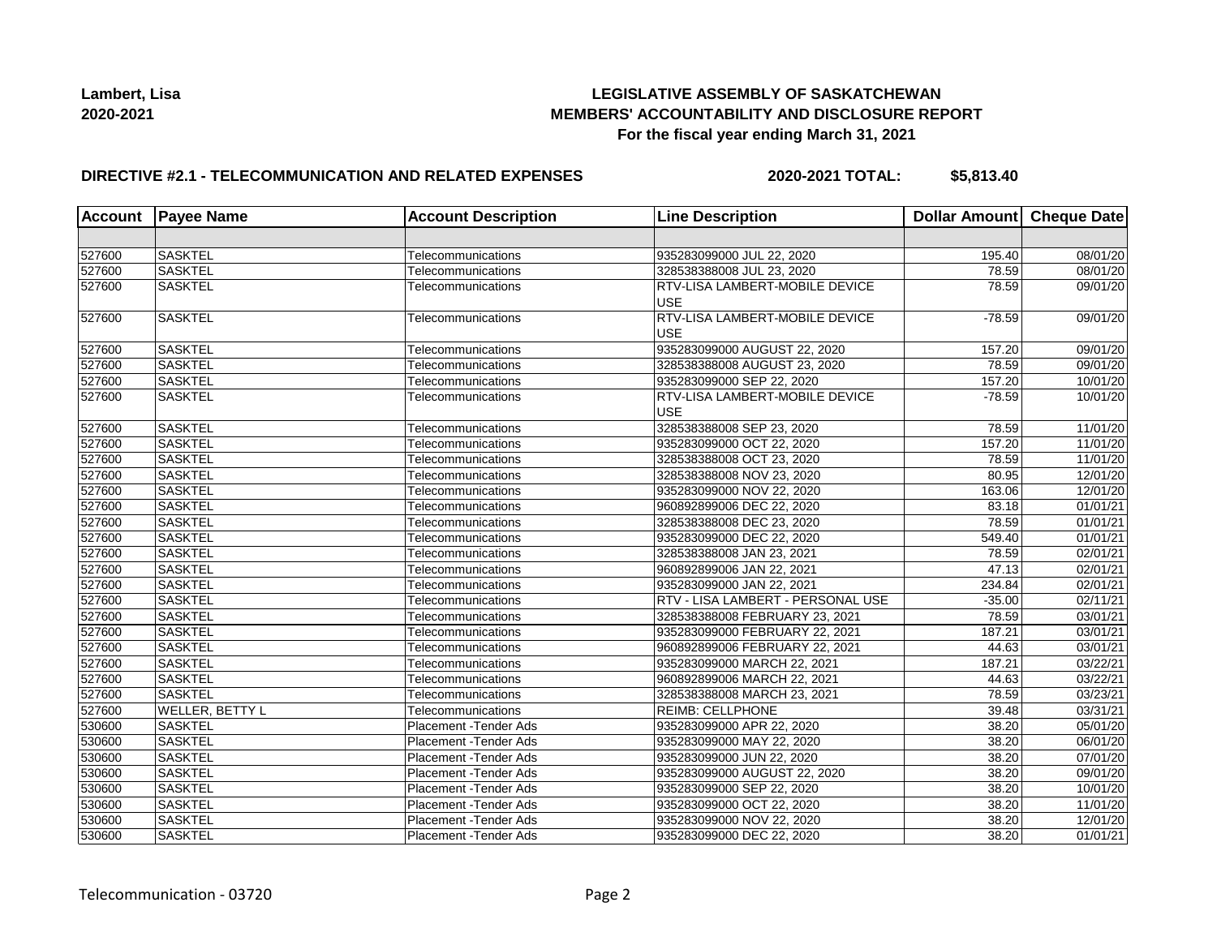## **LEGISLATIVE ASSEMBLY OF SASKATCHEWAN MEMBERS' ACCOUNTABILITY AND DISCLOSURE REPORT For the fiscal year ending March 31, 2021**

## **DIRECTIVE #2.1 - TELECOMMUNICATION AND RELATED EXPENSES**

**2020-2021 TOTAL: \$5,813.40**

| Account | <b>Payee Name</b> | <b>Account Description</b>    | <b>Line Description</b>                      | Dollar Amount Cheque Date |                       |
|---------|-------------------|-------------------------------|----------------------------------------------|---------------------------|-----------------------|
|         |                   |                               |                                              |                           |                       |
| 527600  | <b>SASKTEL</b>    | Telecommunications            | 935283099000 JUL 22, 2020                    | 195.40                    | 08/01/20              |
| 527600  | <b>SASKTEL</b>    | Telecommunications            | 328538388008 JUL 23, 2020                    | 78.59                     | 08/01/20              |
| 527600  | <b>SASKTEL</b>    | Telecommunications            | RTV-LISA LAMBERT-MOBILE DEVICE<br><b>USE</b> | 78.59                     | 09/01/20              |
| 527600  | <b>SASKTEL</b>    | Telecommunications            | RTV-LISA LAMBERT-MOBILE DEVICE<br><b>USE</b> | $-78.59$                  | 09/01/20              |
| 527600  | <b>SASKTEL</b>    | Telecommunications            | 935283099000 AUGUST 22, 2020                 | 157.20                    | 09/01/20              |
| 527600  | <b>SASKTEL</b>    | Telecommunications            | 328538388008 AUGUST 23, 2020                 | 78.59                     | 09/01/20              |
| 527600  | <b>SASKTEL</b>    | Telecommunications            | 935283099000 SEP 22, 2020                    | 157.20                    | 10/01/20              |
| 527600  | <b>SASKTEL</b>    | Telecommunications            | RTV-LISA LAMBERT-MOBILE DEVICE<br><b>USE</b> | $-78.59$                  | 10/01/20              |
| 527600  | <b>SASKTEL</b>    | Telecommunications            | 328538388008 SEP 23, 2020                    | 78.59                     | 11/01/20              |
| 527600  | <b>SASKTEL</b>    | Telecommunications            | 935283099000 OCT 22, 2020                    | 157.20                    | 11/01/20              |
| 527600  | <b>SASKTEL</b>    | Telecommunications            | 328538388008 OCT 23, 2020                    | 78.59                     | 11/01/20              |
| 527600  | <b>SASKTEL</b>    | Telecommunications            | 328538388008 NOV 23, 2020                    | 80.95                     | 12/01/20              |
| 527600  | <b>SASKTEL</b>    | Telecommunications            | 935283099000 NOV 22, 2020                    | 163.06                    | 12/01/20              |
| 527600  | <b>SASKTEL</b>    | Telecommunications            | 960892899006 DEC 22, 2020                    | 83.18                     | 01/01/21              |
| 527600  | <b>SASKTEL</b>    | Telecommunications            | 328538388008 DEC 23, 2020                    | 78.59                     | 01/01/21              |
| 527600  | <b>SASKTEL</b>    | Telecommunications            | 935283099000 DEC 22, 2020                    | 549.40                    | $\overline{01}/01/21$ |
| 527600  | <b>SASKTEL</b>    | Telecommunications            | 328538388008 JAN 23, 2021                    | 78.59                     | 02/01/21              |
| 527600  | <b>SASKTEL</b>    | Telecommunications            | 960892899006 JAN 22, 2021                    | 47.13                     | 02/01/21              |
| 527600  | <b>SASKTEL</b>    | Telecommunications            | 935283099000 JAN 22, 2021                    | 234.84                    | 02/01/21              |
| 527600  | <b>SASKTEL</b>    | Telecommunications            | RTV - LISA LAMBERT - PERSONAL USE            | $-35.00$                  | $\overline{02/11/21}$ |
| 527600  | <b>SASKTEL</b>    | Telecommunications            | 328538388008 FEBRUARY 23, 2021               | 78.59                     | 03/01/21              |
| 527600  | <b>SASKTEL</b>    | Telecommunications            | 935283099000 FEBRUARY 22, 2021               | 187.21                    | 03/01/21              |
| 527600  | <b>SASKTEL</b>    | Telecommunications            | 960892899006 FEBRUARY 22, 2021               | 44.63                     | 03/01/21              |
| 527600  | <b>SASKTEL</b>    | Telecommunications            | 935283099000 MARCH 22, 2021                  | 187.21                    | 03/22/21              |
| 527600  | <b>SASKTEL</b>    | Telecommunications            | 960892899006 MARCH 22, 2021                  | 44.63                     | 03/22/21              |
| 527600  | <b>SASKTEL</b>    | Telecommunications            | 328538388008 MARCH 23, 2021                  | 78.59                     | 03/23/21              |
| 527600  | WELLER, BETTY L   | Telecommunications            | <b>REIMB: CELLPHONE</b>                      | 39.48                     | 03/31/21              |
| 530600  | <b>SASKTEL</b>    | Placement - Tender Ads        | 935283099000 APR 22, 2020                    | 38.20                     | 05/01/20              |
| 530600  | <b>SASKTEL</b>    | Placement - Tender Ads        | 935283099000 MAY 22, 2020                    | 38.20                     | 06/01/20              |
| 530600  | <b>SASKTEL</b>    | Placement - Tender Ads        | 935283099000 JUN 22, 2020                    | 38.20                     | 07/01/20              |
| 530600  | <b>SASKTEL</b>    | <b>Placement - Tender Ads</b> | 935283099000 AUGUST 22, 2020                 | 38.20                     | 09/01/20              |
| 530600  | <b>SASKTEL</b>    | <b>Placement - Tender Ads</b> | 935283099000 SEP 22, 2020                    | 38.20                     | 10/01/20              |
| 530600  | <b>SASKTEL</b>    | Placement - Tender Ads        | 935283099000 OCT 22, 2020                    | 38.20                     | 11/01/20              |
| 530600  | <b>SASKTEL</b>    | Placement - Tender Ads        | 935283099000 NOV 22, 2020                    | 38.20                     | 12/01/20              |
| 530600  | <b>SASKTEL</b>    | <b>Placement - Tender Ads</b> | 935283099000 DEC 22, 2020                    | 38.20                     | 01/01/21              |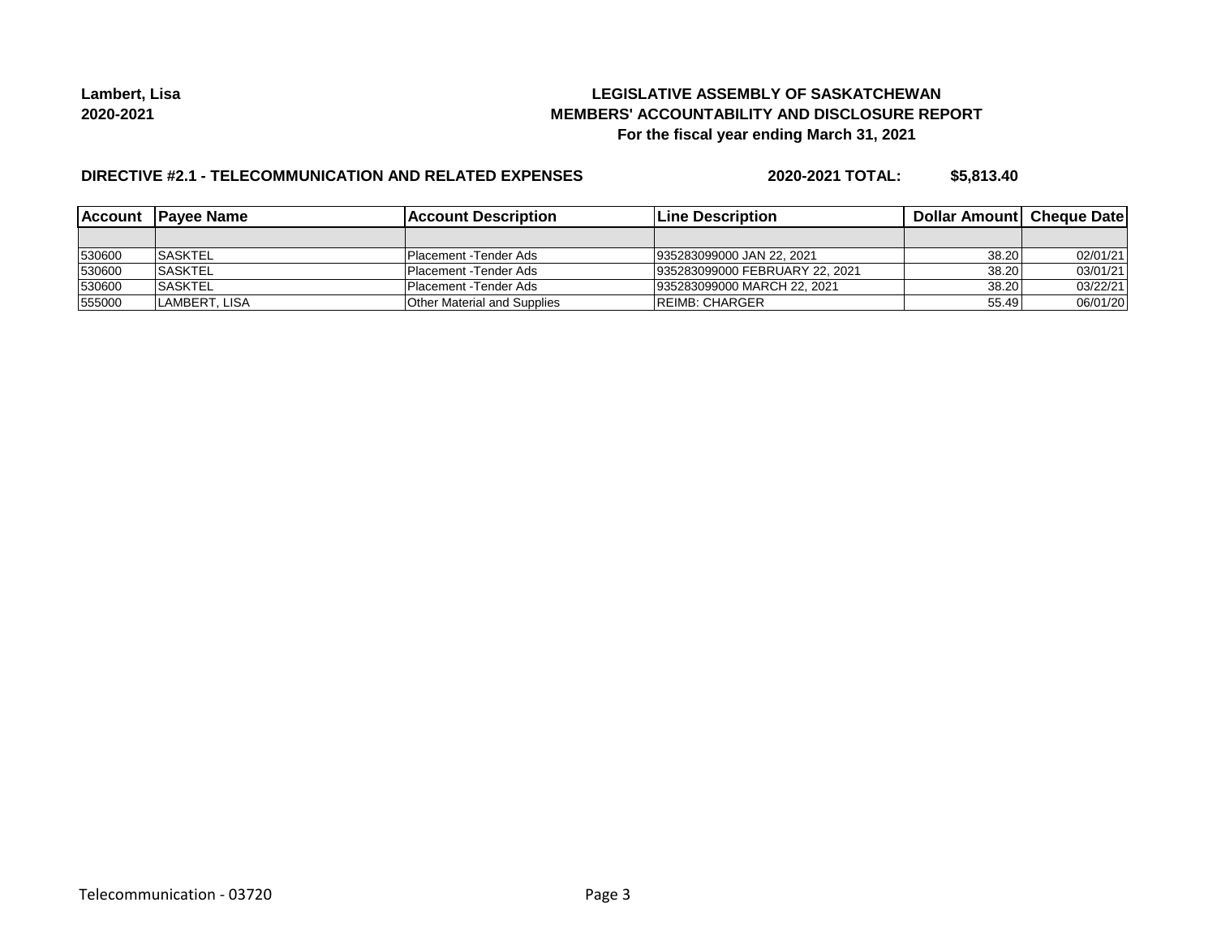## **LEGISLATIVE ASSEMBLY OF SASKATCHEWAN MEMBERS' ACCOUNTABILITY AND DISCLOSURE REPORT For the fiscal year ending March 31, 2021**

## **DIRECTIVE #2.1 - TELECOMMUNICATION AND RELATED EXPENSES**

**2020-2021 TOTAL: \$5,813.40**

|        | Account Payee Name | <b>Account Description</b>         | <b>Line Description</b>        | <b>Dollar Amountl Cheque Date</b> |          |
|--------|--------------------|------------------------------------|--------------------------------|-----------------------------------|----------|
|        |                    |                                    |                                |                                   |          |
| 530600 | <b>SASKTEL</b>     | IPlacement -Tender Ads             | 1935283099000 JAN 22, 2021     | 38.20                             | 02/01/21 |
| 530600 | <b>ISASKTEL</b>    | Placement - Tender Ads             | 935283099000 FEBRUARY 22, 2021 | 38.20                             | 03/01/21 |
| 530600 | <b>ISASKTEL</b>    | Placement - Tender Ads             | 935283099000 MARCH 22, 2021    | 38.20                             | 03/22/21 |
| 555000 | LAMBERT. LISA      | <b>Other Material and Supplies</b> | <b>IREIMB: CHARGER</b>         | 55.49                             | 06/01/20 |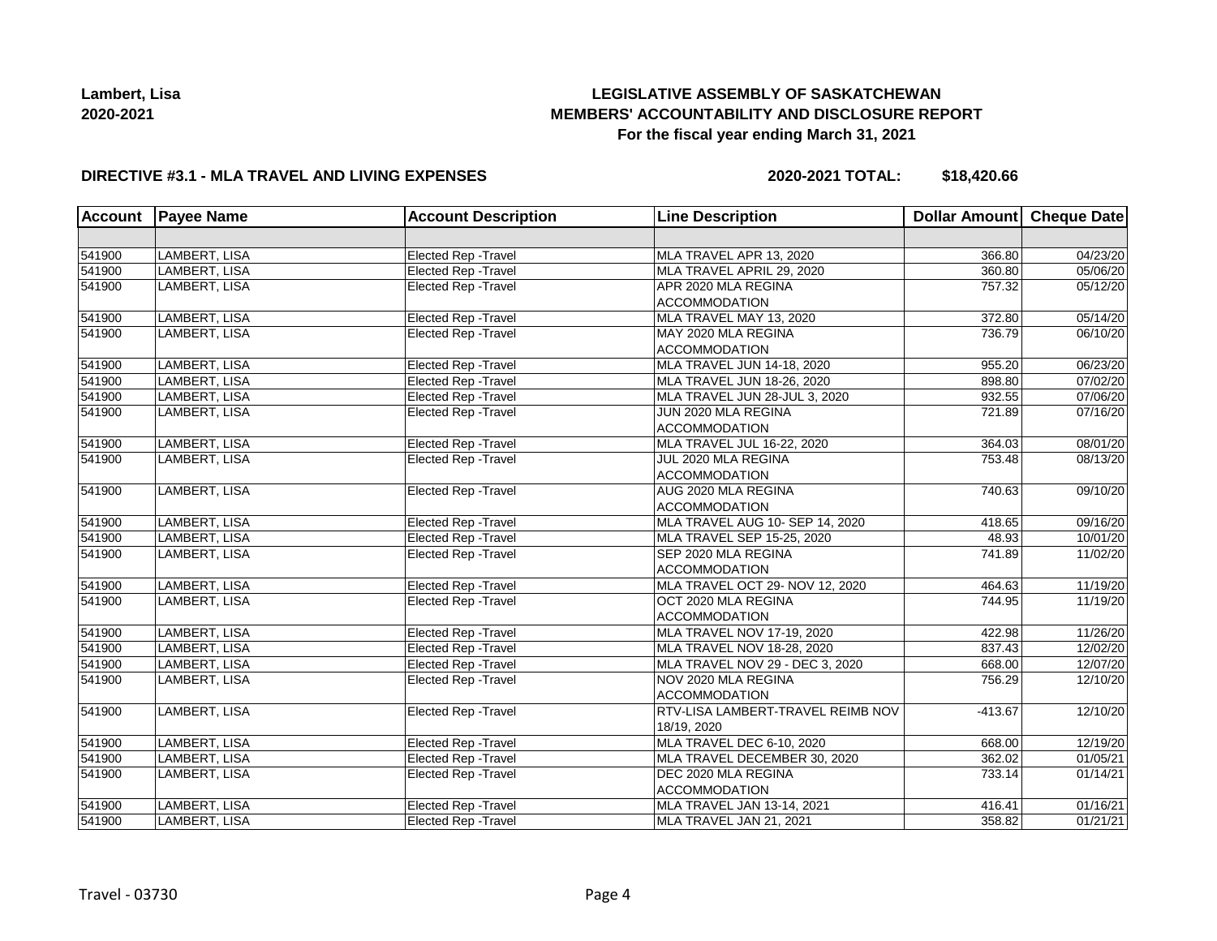# **LEGISLATIVE ASSEMBLY OF SASKATCHEWAN MEMBERS' ACCOUNTABILITY AND DISCLOSURE REPORT For the fiscal year ending March 31, 2021**

## **DIRECTIVE #3.1 - MLA TRAVEL AND LIVING EXPENSES**

**2020-2021 TOTAL: \$18,420.66**

| <b>Account</b> | <b>Payee Name</b>    | <b>Account Description</b>  | <b>Line Description</b>                          | Dollar Amount Cheque Date |                       |
|----------------|----------------------|-----------------------------|--------------------------------------------------|---------------------------|-----------------------|
|                |                      |                             |                                                  |                           |                       |
| 541900         | LAMBERT, LISA        | Elected Rep - Travel        | MLA TRAVEL APR 13, 2020                          | 366.80                    | 04/23/20              |
| 541900         | LAMBERT, LISA        | Elected Rep - Travel        | MLA TRAVEL APRIL 29, 2020                        | 360.80                    | 05/06/20              |
| 541900         | LAMBERT, LISA        | Elected Rep - Travel        | APR 2020 MLA REGINA<br><b>ACCOMMODATION</b>      | 757.32                    | $\overline{05/12/20}$ |
| 541900         | LAMBERT, LISA        | Elected Rep - Travel        | MLA TRAVEL MAY 13, 2020                          | 372.80                    | 05/14/20              |
| 541900         | LAMBERT, LISA        | <b>Elected Rep - Travel</b> | MAY 2020 MLA REGINA<br><b>ACCOMMODATION</b>      | 736.79                    | 06/10/20              |
| 541900         | LAMBERT, LISA        | <b>Elected Rep - Travel</b> | MLA TRAVEL JUN 14-18, 2020                       | 955.20                    | 06/23/20              |
| 541900         | <b>LAMBERT, LISA</b> | Elected Rep - Travel        | MLA TRAVEL JUN 18-26, 2020                       | 898.80                    | 07/02/20              |
| 541900         | LAMBERT, LISA        | Elected Rep - Travel        | MLA TRAVEL JUN 28-JUL 3, 2020                    | 932.55                    | 07/06/20              |
| 541900         | LAMBERT, LISA        | <b>Elected Rep - Travel</b> | JUN 2020 MLA REGINA<br><b>ACCOMMODATION</b>      | 721.89                    | 07/16/20              |
| 541900         | LAMBERT, LISA        | Elected Rep - Travel        | MLA TRAVEL JUL 16-22, 2020                       | 364.03                    | 08/01/20              |
| 541900         | LAMBERT, LISA        | Elected Rep - Travel        | JUL 2020 MLA REGINA<br><b>ACCOMMODATION</b>      | 753.48                    | 08/13/20              |
| 541900         | LAMBERT, LISA        | Elected Rep - Travel        | AUG 2020 MLA REGINA<br><b>ACCOMMODATION</b>      | 740.63                    | 09/10/20              |
| 541900         | LAMBERT, LISA        | Elected Rep - Travel        | MLA TRAVEL AUG 10- SEP 14, 2020                  | 418.65                    | 09/16/20              |
| 541900         | LAMBERT, LISA        | Elected Rep - Travel        | MLA TRAVEL SEP 15-25, 2020                       | 48.93                     | 10/01/20              |
| 541900         | LAMBERT, LISA        | Elected Rep - Travel        | SEP 2020 MLA REGINA<br><b>ACCOMMODATION</b>      | 741.89                    | 11/02/20              |
| 541900         | LAMBERT, LISA        | <b>Elected Rep - Travel</b> | MLA TRAVEL OCT 29- NOV 12, 2020                  | 464.63                    | 11/19/20              |
| 541900         | LAMBERT, LISA        | Elected Rep - Travel        | OCT 2020 MLA REGINA<br><b>ACCOMMODATION</b>      | 744.95                    | 11/19/20              |
| 541900         | LAMBERT, LISA        | Elected Rep - Travel        | MLA TRAVEL NOV 17-19, 2020                       | 422.98                    | 11/26/20              |
| 541900         | LAMBERT, LISA        | Elected Rep - Travel        | MLA TRAVEL NOV 18-28, 2020                       | 837.43                    | 12/02/20              |
| 541900         | LAMBERT, LISA        | <b>Elected Rep - Travel</b> | MLA TRAVEL NOV 29 - DEC 3, 2020                  | 668.00                    | 12/07/20              |
| 541900         | LAMBERT, LISA        | <b>Elected Rep - Travel</b> | NOV 2020 MLA REGINA<br><b>ACCOMMODATION</b>      | 756.29                    | 12/10/20              |
| 541900         | LAMBERT, LISA        | <b>Elected Rep - Travel</b> | RTV-LISA LAMBERT-TRAVEL REIMB NOV<br>18/19, 2020 | $-413.67$                 | 12/10/20              |
| 541900         | <b>LAMBERT, LISA</b> | Elected Rep - Travel        | MLA TRAVEL DEC 6-10, 2020                        | 668.00                    | 12/19/20              |
| 541900         | LAMBERT, LISA        | Elected Rep - Travel        | MLA TRAVEL DECEMBER 30, 2020                     | 362.02                    | 01/05/21              |
| 541900         | LAMBERT, LISA        | Elected Rep - Travel        | DEC 2020 MLA REGINA<br><b>ACCOMMODATION</b>      | 733.14                    | 01/14/21              |
| 541900         | LAMBERT, LISA        | <b>Elected Rep - Travel</b> | MLA TRAVEL JAN 13-14, 2021                       | 416.41                    | 01/16/21              |
| 541900         | LAMBERT, LISA        | Elected Rep - Travel        | MLA TRAVEL JAN 21, 2021                          | 358.82                    | 01/21/21              |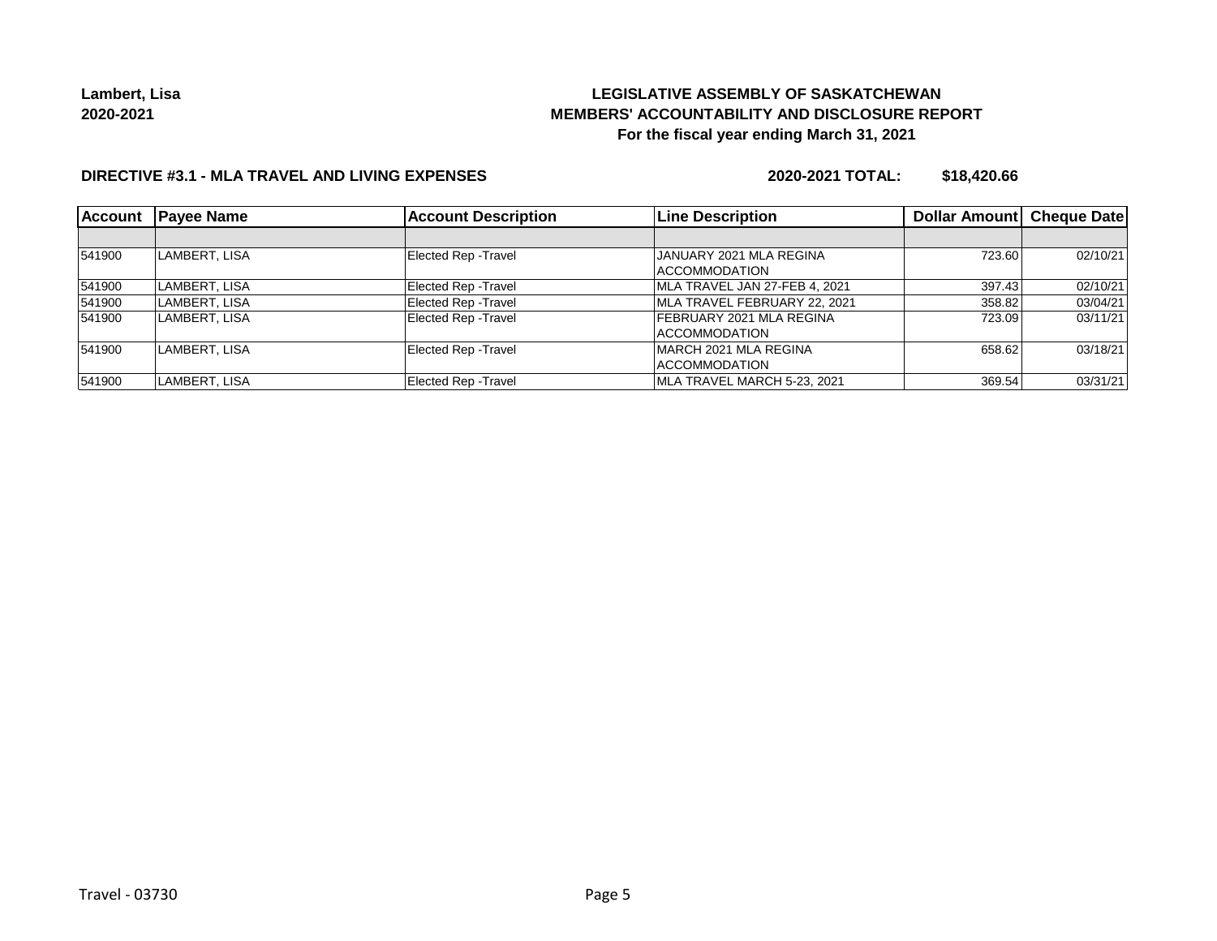# **LEGISLATIVE ASSEMBLY OF SASKATCHEWAN MEMBERS' ACCOUNTABILITY AND DISCLOSURE REPORT For the fiscal year ending March 31, 2021**

### **DIRECTIVE #3.1 - MLA TRAVEL AND LIVING EXPENSES**

**2020-2021 TOTAL: \$18,420.66**

| <b>Account</b> | <b>Payee Name</b> | <b>Account Description</b>  | <b>Line Description</b>         | Dollar Amount Cheque Date |          |
|----------------|-------------------|-----------------------------|---------------------------------|---------------------------|----------|
|                |                   |                             |                                 |                           |          |
| 541900         | LAMBERT, LISA     | <b>Elected Rep - Travel</b> | JANUARY 2021 MLA REGINA         | 723.60                    | 02/10/21 |
|                |                   |                             | <b>ACCOMMODATION</b>            |                           |          |
| 541900         | LAMBERT, LISA     | <b>Elected Rep - Travel</b> | MLA TRAVEL JAN 27-FEB 4, 2021   | 397.43                    | 02/10/21 |
| 541900         | LAMBERT, LISA     | <b>Elected Rep - Travel</b> | MLA TRAVEL FEBRUARY 22. 2021    | 358.82                    | 03/04/21 |
| 541900         | LAMBERT, LISA     | <b>Elected Rep - Travel</b> | <b>FEBRUARY 2021 MLA REGINA</b> | 723.09                    | 03/11/21 |
|                |                   |                             | ACCOMMODATION                   |                           |          |
| 541900         | LAMBERT, LISA     | <b>Elected Rep - Travel</b> | MARCH 2021 MLA REGINA           | 658.62                    | 03/18/21 |
|                |                   |                             | <b>ACCOMMODATION</b>            |                           |          |
| 541900         | LAMBERT, LISA     | <b>Elected Rep - Travel</b> | MLA TRAVEL MARCH 5-23, 2021     | 369.54                    | 03/31/21 |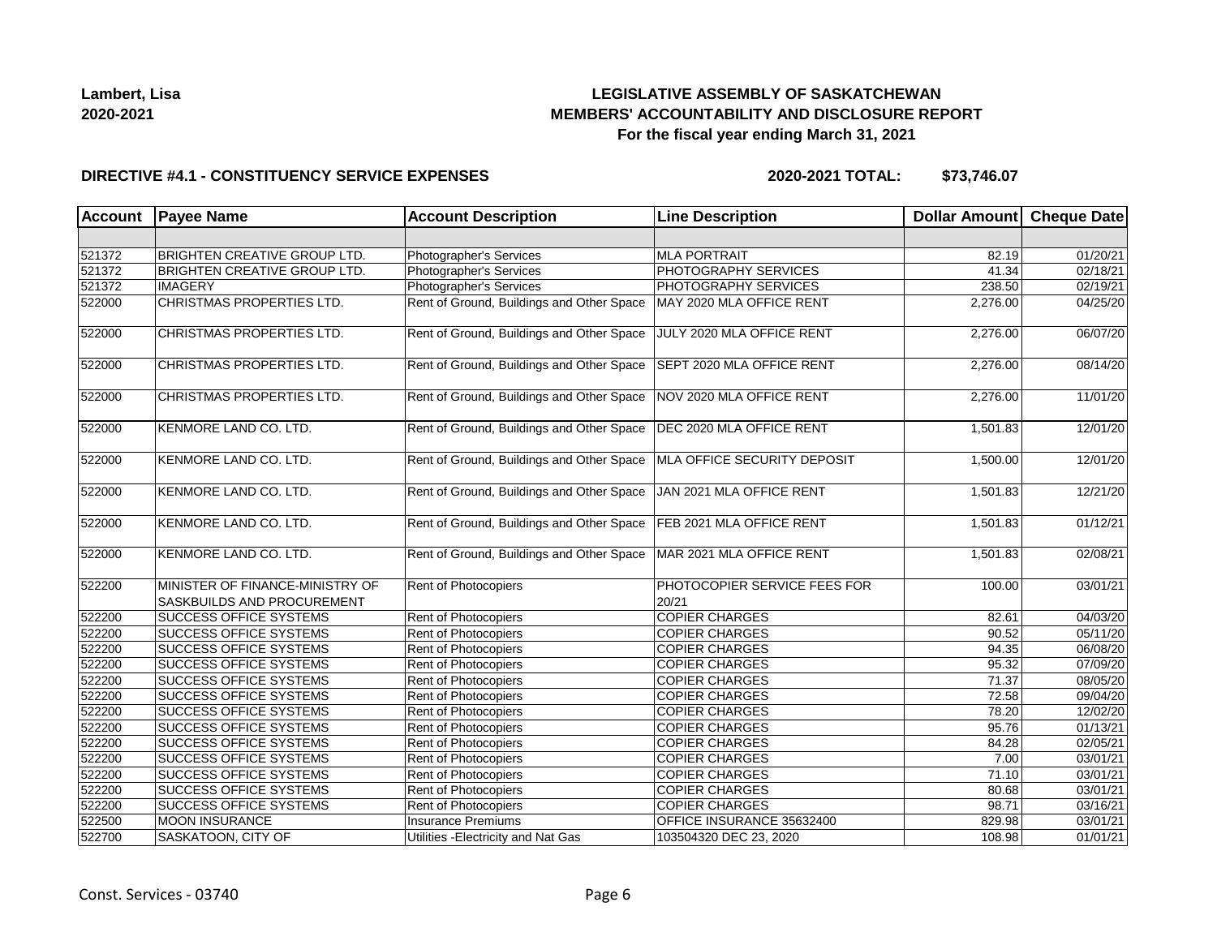## **LEGISLATIVE ASSEMBLY OF SASKATCHEWAN MEMBERS' ACCOUNTABILITY AND DISCLOSURE REPORT For the fiscal year ending March 31, 2021**

### **DIRECTIVE #4.1 - CONSTITUENCY SERVICE EXPENSES**

| <b>Account</b> | <b>Payee Name</b>                                             | <b>Account Description</b>                | <b>Line Description</b>               | Dollar Amount Cheque Date |          |
|----------------|---------------------------------------------------------------|-------------------------------------------|---------------------------------------|---------------------------|----------|
|                |                                                               |                                           |                                       |                           |          |
| 521372         | <b>BRIGHTEN CREATIVE GROUP LTD.</b>                           | Photographer's Services                   | <b>MLA PORTRAIT</b>                   | 82.19                     | 01/20/21 |
| 521372         | <b>BRIGHTEN CREATIVE GROUP LTD.</b>                           | Photographer's Services                   | PHOTOGRAPHY SERVICES                  | 41.34                     | 02/18/21 |
| 521372         | <b>IMAGERY</b>                                                | Photographer's Services                   | PHOTOGRAPHY SERVICES                  | 238.50                    | 02/19/21 |
| 522000         | <b>CHRISTMAS PROPERTIES LTD.</b>                              | Rent of Ground, Buildings and Other Space | MAY 2020 MLA OFFICE RENT              | 2,276.00                  | 04/25/20 |
| 522000         | CHRISTMAS PROPERTIES LTD.                                     | Rent of Ground, Buildings and Other Space | JULY 2020 MLA OFFICE RENT             | 2,276.00                  | 06/07/20 |
| 522000         | CHRISTMAS PROPERTIES LTD.                                     | Rent of Ground, Buildings and Other Space | SEPT 2020 MLA OFFICE RENT             | 2,276.00                  | 08/14/20 |
| 522000         | CHRISTMAS PROPERTIES LTD.                                     | Rent of Ground, Buildings and Other Space | NOV 2020 MLA OFFICE RENT              | 2,276.00                  | 11/01/20 |
| 522000         | KENMORE LAND CO. LTD.                                         | Rent of Ground, Buildings and Other Space | DEC 2020 MLA OFFICE RENT              | 1,501.83                  | 12/01/20 |
| 522000         | KENMORE LAND CO. LTD.                                         | Rent of Ground, Buildings and Other Space | MLA OFFICE SECURITY DEPOSIT           | 1,500.00                  | 12/01/20 |
| 522000         | KENMORE LAND CO. LTD.                                         | Rent of Ground, Buildings and Other Space | JAN 2021 MLA OFFICE RENT              | 1,501.83                  | 12/21/20 |
| 522000         | KENMORE LAND CO. LTD.                                         | Rent of Ground, Buildings and Other Space | FEB 2021 MLA OFFICE RENT              | 1,501.83                  | 01/12/21 |
| 522000         | KENMORE LAND CO. LTD.                                         | Rent of Ground, Buildings and Other Space | MAR 2021 MLA OFFICE RENT              | 1,501.83                  | 02/08/21 |
| 522200         | MINISTER OF FINANCE-MINISTRY OF<br>SASKBUILDS AND PROCUREMENT | Rent of Photocopiers                      | PHOTOCOPIER SERVICE FEES FOR<br>20/21 | 100.00                    | 03/01/21 |
| 522200         | <b>SUCCESS OFFICE SYSTEMS</b>                                 | Rent of Photocopiers                      | <b>COPIER CHARGES</b>                 | 82.61                     | 04/03/20 |
| 522200         | SUCCESS OFFICE SYSTEMS                                        | Rent of Photocopiers                      | <b>COPIER CHARGES</b>                 | 90.52                     | 05/11/20 |
| 522200         | <b>SUCCESS OFFICE SYSTEMS</b>                                 | Rent of Photocopiers                      | <b>COPIER CHARGES</b>                 | 94.35                     | 06/08/20 |
| 522200         | <b>SUCCESS OFFICE SYSTEMS</b>                                 | Rent of Photocopiers                      | <b>COPIER CHARGES</b>                 | 95.32                     | 07/09/20 |
| 522200         | <b>SUCCESS OFFICE SYSTEMS</b>                                 | Rent of Photocopiers                      | <b>COPIER CHARGES</b>                 | 71.37                     | 08/05/20 |
| 522200         | <b>SUCCESS OFFICE SYSTEMS</b>                                 | Rent of Photocopiers                      | <b>COPIER CHARGES</b>                 | 72.58                     | 09/04/20 |
| 522200         | <b>SUCCESS OFFICE SYSTEMS</b>                                 | Rent of Photocopiers                      | <b>COPIER CHARGES</b>                 | 78.20                     | 12/02/20 |
| 522200         | <b>SUCCESS OFFICE SYSTEMS</b>                                 | Rent of Photocopiers                      | <b>COPIER CHARGES</b>                 | 95.76                     | 01/13/21 |
| 522200         | <b>SUCCESS OFFICE SYSTEMS</b>                                 | Rent of Photocopiers                      | <b>COPIER CHARGES</b>                 | 84.28                     | 02/05/21 |
| 522200         | <b>SUCCESS OFFICE SYSTEMS</b>                                 | Rent of Photocopiers                      | <b>COPIER CHARGES</b>                 | 7.00                      | 03/01/21 |
| 522200         | <b>SUCCESS OFFICE SYSTEMS</b>                                 | Rent of Photocopiers                      | <b>COPIER CHARGES</b>                 | 71.10                     | 03/01/21 |
| 522200         | <b>SUCCESS OFFICE SYSTEMS</b>                                 | Rent of Photocopiers                      | <b>COPIER CHARGES</b>                 | 80.68                     | 03/01/21 |
| 522200         | <b>SUCCESS OFFICE SYSTEMS</b>                                 | Rent of Photocopiers                      | <b>COPIER CHARGES</b>                 | 98.71                     | 03/16/21 |
| 522500         | <b>MOON INSURANCE</b>                                         | Insurance Premiums                        | OFFICE INSURANCE 35632400             | 829.98                    | 03/01/21 |
| 522700         | SASKATOON, CITY OF                                            | Utilities - Electricity and Nat Gas       | 103504320 DEC 23, 2020                | 108.98                    | 01/01/21 |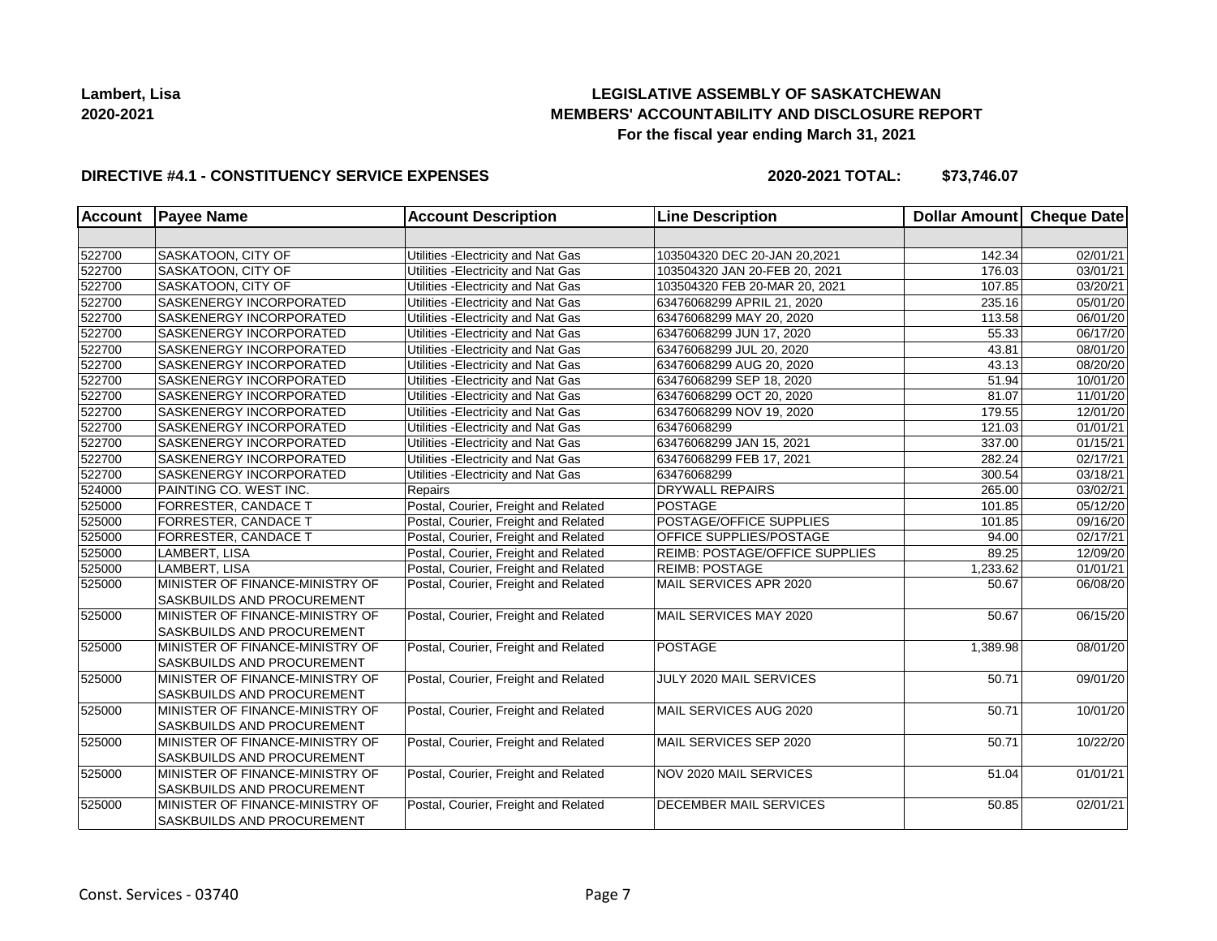## **LEGISLATIVE ASSEMBLY OF SASKATCHEWAN MEMBERS' ACCOUNTABILITY AND DISCLOSURE REPORT For the fiscal year ending March 31, 2021**

### **DIRECTIVE #4.1 - CONSTITUENCY SERVICE EXPENSES**

| <b>Account</b> | <b>Payee Name</b>                                                    | <b>Account Description</b>           | <b>Line Description</b>        | <b>Dollar Amount</b> | Cheque Date           |
|----------------|----------------------------------------------------------------------|--------------------------------------|--------------------------------|----------------------|-----------------------|
|                |                                                                      |                                      |                                |                      |                       |
| 522700         | SASKATOON, CITY OF                                                   | Utilities - Electricity and Nat Gas  | 103504320 DEC 20-JAN 20,2021   | 142.34               | 02/01/21              |
| 522700         | SASKATOON, CITY OF                                                   | Utilities - Electricity and Nat Gas  | 103504320 JAN 20-FEB 20, 2021  | 176.03               | 03/01/21              |
| 522700         | SASKATOON, CITY OF                                                   | Utilities - Electricity and Nat Gas  | 103504320 FEB 20-MAR 20, 2021  | 107.85               | $\overline{03/20/21}$ |
| 522700         | SASKENERGY INCORPORATED                                              | Utilities - Electricity and Nat Gas  | 63476068299 APRIL 21, 2020     | 235.16               | 05/01/20              |
| 522700         | SASKENERGY INCORPORATED                                              | Utilities - Electricity and Nat Gas  | 63476068299 MAY 20, 2020       | 113.58               | 06/01/20              |
| 522700         | SASKENERGY INCORPORATED                                              | Utilities - Electricity and Nat Gas  | 63476068299 JUN 17, 2020       | 55.33                | 06/17/20              |
| 522700         | SASKENERGY INCORPORATED                                              | Utilities - Electricity and Nat Gas  | 63476068299 JUL 20, 2020       | 43.81                | 08/01/20              |
| 522700         | <b>SASKENERGY INCORPORATED</b>                                       | Utilities - Electricity and Nat Gas  | 63476068299 AUG 20, 2020       | 43.13                | 08/20/20              |
| 522700         | SASKENERGY INCORPORATED                                              | Utilities - Electricity and Nat Gas  | 63476068299 SEP 18, 2020       | 51.94                | $\overline{10}/01/20$ |
| 522700         | SASKENERGY INCORPORATED                                              | Utilities - Electricity and Nat Gas  | 63476068299 OCT 20, 2020       | 81.07                | 11/01/20              |
| 522700         | SASKENERGY INCORPORATED                                              | Utilities - Electricity and Nat Gas  | 63476068299 NOV 19, 2020       | 179.55               | 12/01/20              |
| 522700         | SASKENERGY INCORPORATED                                              | Utilities - Electricity and Nat Gas  | 63476068299                    | 121.03               | 01/01/21              |
| 522700         | SASKENERGY INCORPORATED                                              | Utilities - Electricity and Nat Gas  | 63476068299 JAN 15, 2021       | 337.00               | 01/15/21              |
| 522700         | SASKENERGY INCORPORATED                                              | Utilities - Electricity and Nat Gas  | 63476068299 FEB 17, 2021       | 282.24               | 02/17/21              |
| 522700         | SASKENERGY INCORPORATED                                              | Utilities - Electricity and Nat Gas  | 63476068299                    | 300.54               | 03/18/21              |
| 524000         | PAINTING CO. WEST INC.                                               | Repairs                              | <b>DRYWALL REPAIRS</b>         | 265.00               | 03/02/21              |
| 525000         | <b>FORRESTER, CANDACE T</b>                                          | Postal, Courier, Freight and Related | <b>POSTAGE</b>                 | 101.85               | 05/12/20              |
| 525000         | FORRESTER, CANDACE T                                                 | Postal, Courier, Freight and Related | POSTAGE/OFFICE SUPPLIES        | 101.85               | 09/16/20              |
| 525000         | <b>FORRESTER, CANDACE T</b>                                          | Postal, Courier, Freight and Related | OFFICE SUPPLIES/POSTAGE        | 94.00                | 02/17/21              |
| 525000         | LAMBERT, LISA                                                        | Postal, Courier, Freight and Related | REIMB: POSTAGE/OFFICE SUPPLIES | 89.25                | 12/09/20              |
| 525000         | LAMBERT, LISA                                                        | Postal, Courier, Freight and Related | <b>REIMB: POSTAGE</b>          | 1,233.62             | 01/01/21              |
| 525000         | MINISTER OF FINANCE-MINISTRY OF<br><b>SASKBUILDS AND PROCUREMENT</b> | Postal, Courier, Freight and Related | MAIL SERVICES APR 2020         | 50.67                | 06/08/20              |
| 525000         | MINISTER OF FINANCE-MINISTRY OF                                      | Postal, Courier, Freight and Related | MAIL SERVICES MAY 2020         | 50.67                | 06/15/20              |
|                | SASKBUILDS AND PROCUREMENT                                           |                                      |                                |                      |                       |
| 525000         | MINISTER OF FINANCE-MINISTRY OF                                      | Postal, Courier, Freight and Related | <b>POSTAGE</b>                 | 1,389.98             | 08/01/20              |
|                | <b>SASKBUILDS AND PROCUREMENT</b>                                    |                                      |                                |                      |                       |
| 525000         | MINISTER OF FINANCE-MINISTRY OF                                      | Postal, Courier, Freight and Related | JULY 2020 MAIL SERVICES        | 50.71                | 09/01/20              |
|                | SASKBUILDS AND PROCUREMENT                                           |                                      |                                |                      |                       |
| 525000         | MINISTER OF FINANCE-MINISTRY OF                                      | Postal, Courier, Freight and Related | MAIL SERVICES AUG 2020         | 50.71                | 10/01/20              |
|                | <b>SASKBUILDS AND PROCUREMENT</b>                                    |                                      |                                |                      |                       |
| 525000         | MINISTER OF FINANCE-MINISTRY OF                                      | Postal, Courier, Freight and Related | MAIL SERVICES SEP 2020         | 50.71                | 10/22/20              |
|                | <b>SASKBUILDS AND PROCUREMENT</b>                                    |                                      |                                |                      |                       |
| 525000         | MINISTER OF FINANCE-MINISTRY OF                                      | Postal, Courier, Freight and Related | NOV 2020 MAIL SERVICES         | 51.04                | 01/01/21              |
|                | SASKBUILDS AND PROCUREMENT                                           |                                      |                                |                      |                       |
| 525000         | MINISTER OF FINANCE-MINISTRY OF                                      | Postal, Courier, Freight and Related | <b>DECEMBER MAIL SERVICES</b>  | 50.85                | 02/01/21              |
|                | SASKBUILDS AND PROCUREMENT                                           |                                      |                                |                      |                       |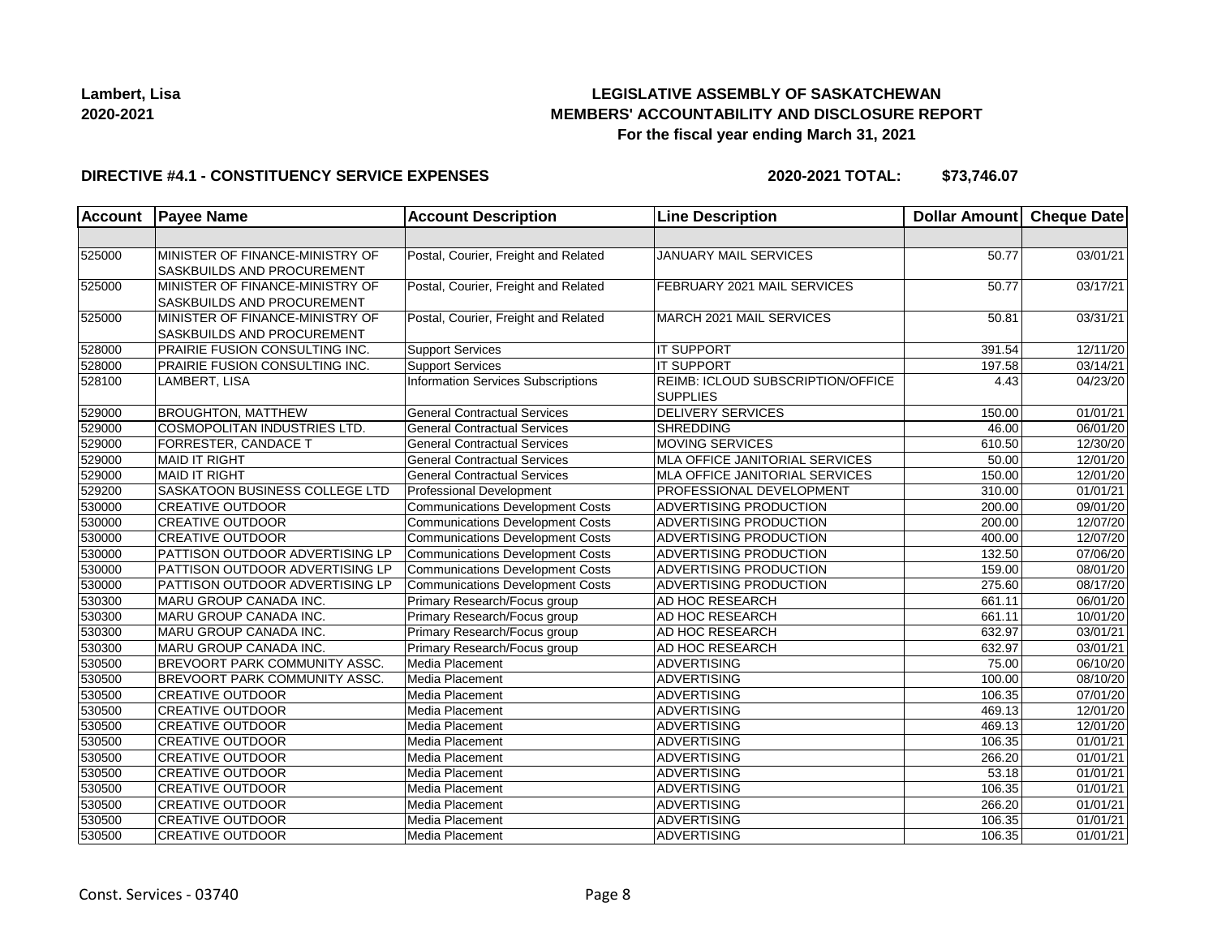## **LEGISLATIVE ASSEMBLY OF SASKATCHEWAN MEMBERS' ACCOUNTABILITY AND DISCLOSURE REPORT For the fiscal year ending March 31, 2021**

### **DIRECTIVE #4.1 - CONSTITUENCY SERVICE EXPENSES**

| <b>Account</b> | <b>Payee Name</b>                                             | <b>Account Description</b>              | <b>Line Description</b>                              | Dollar Amount Cheque Date |                       |
|----------------|---------------------------------------------------------------|-----------------------------------------|------------------------------------------------------|---------------------------|-----------------------|
|                |                                                               |                                         |                                                      |                           |                       |
| 525000         | MINISTER OF FINANCE-MINISTRY OF<br>SASKBUILDS AND PROCUREMENT | Postal, Courier, Freight and Related    | JANUARY MAIL SERVICES                                | 50.77                     | 03/01/21              |
| 525000         | MINISTER OF FINANCE-MINISTRY OF<br>SASKBUILDS AND PROCUREMENT | Postal, Courier, Freight and Related    | FEBRUARY 2021 MAIL SERVICES                          | 50.77                     | 03/17/21              |
| 525000         | MINISTER OF FINANCE-MINISTRY OF<br>SASKBUILDS AND PROCUREMENT | Postal, Courier, Freight and Related    | MARCH 2021 MAIL SERVICES                             | 50.81                     | 03/31/21              |
| 528000         | PRAIRIE FUSION CONSULTING INC.                                | Support Services                        | <b>IT SUPPORT</b>                                    | 391.54                    | 12/11/20              |
| 528000         | PRAIRIE FUSION CONSULTING INC.                                | <b>Support Services</b>                 | <b>IT SUPPORT</b>                                    | 197.58                    | 03/14/21              |
| 528100         | LAMBERT, LISA                                                 | Information Services Subscriptions      | REIMB: ICLOUD SUBSCRIPTION/OFFICE<br><b>SUPPLIES</b> | 4.43                      | 04/23/20              |
| 529000         | <b>BROUGHTON, MATTHEW</b>                                     | <b>General Contractual Services</b>     | <b>DELIVERY SERVICES</b>                             | 150.00                    | 01/01/21              |
| 529000         | COSMOPOLITAN INDUSTRIES LTD.                                  | <b>General Contractual Services</b>     | <b>SHREDDING</b>                                     | 46.00                     | 06/01/20              |
| 529000         | <b>FORRESTER, CANDACE T</b>                                   | <b>General Contractual Services</b>     | <b>MOVING SERVICES</b>                               | 610.50                    | 12/30/20              |
| 529000         | <b>MAID IT RIGHT</b>                                          | <b>General Contractual Services</b>     | <b>MLA OFFICE JANITORIAL SERVICES</b>                | 50.00                     | 12/01/20              |
| 529000         | <b>MAID IT RIGHT</b>                                          | <b>General Contractual Services</b>     | <b>MLA OFFICE JANITORIAL SERVICES</b>                | 150.00                    | 12/01/20              |
| 529200         | SASKATOON BUSINESS COLLEGE LTD                                | <b>Professional Development</b>         | PROFESSIONAL DEVELOPMENT                             | 310.00                    | 01/01/21              |
| 530000         | <b>CREATIVE OUTDOOR</b>                                       | <b>Communications Development Costs</b> | ADVERTISING PRODUCTION                               | 200.00                    | 09/01/20              |
| 530000         | <b>CREATIVE OUTDOOR</b>                                       | <b>Communications Development Costs</b> | ADVERTISING PRODUCTION                               | 200.00                    | 12/07/20              |
| 530000         | <b>CREATIVE OUTDOOR</b>                                       | <b>Communications Development Costs</b> | <b>ADVERTISING PRODUCTION</b>                        | 400.00                    | 12/07/20              |
| 530000         | PATTISON OUTDOOR ADVERTISING LP                               | Communications Development Costs        | ADVERTISING PRODUCTION                               | 132.50                    | 07/06/20              |
| 530000         | PATTISON OUTDOOR ADVERTISING LP                               | Communications Development Costs        | ADVERTISING PRODUCTION                               | 159.00                    | 08/01/20              |
| 530000         | PATTISON OUTDOOR ADVERTISING LP                               | <b>Communications Development Costs</b> | ADVERTISING PRODUCTION                               | 275.60                    | 08/17/20              |
| 530300         | MARU GROUP CANADA INC.                                        | Primary Research/Focus group            | AD HOC RESEARCH                                      | 661.11                    | 06/01/20              |
| 530300         | MARU GROUP CANADA INC.                                        | Primary Research/Focus group            | AD HOC RESEARCH                                      | 661.11                    | 10/01/20              |
| 530300         | MARU GROUP CANADA INC.                                        | Primary Research/Focus group            | AD HOC RESEARCH                                      | 632.97                    | 03/01/21              |
| 530300         | MARU GROUP CANADA INC.                                        | Primary Research/Focus group            | AD HOC RESEARCH                                      | 632.97                    | 03/01/21              |
| 530500         | <b>BREVOORT PARK COMMUNITY ASSC.</b>                          | Media Placement                         | <b>ADVERTISING</b>                                   | 75.00                     | 06/10/20              |
| 530500         | <b>BREVOORT PARK COMMUNITY ASSC.</b>                          | Media Placement                         | ADVERTISING                                          | 100.00                    | 08/10/20              |
| 530500         | <b>CREATIVE OUTDOOR</b>                                       | Media Placement                         | <b>ADVERTISING</b>                                   | 106.35                    | 07/01/20              |
| 530500         | <b>CREATIVE OUTDOOR</b>                                       | Media Placement                         | <b>ADVERTISING</b>                                   | 469.13                    | 12/01/20              |
| 530500         | <b>CREATIVE OUTDOOR</b>                                       | Media Placement                         | ADVERTISING                                          | 469.13                    | 12/01/20              |
| 530500         | <b>CREATIVE OUTDOOR</b>                                       | Media Placement                         | ADVERTISING                                          | 106.35                    | $\overline{01/01/21}$ |
| 530500         | <b>CREATIVE OUTDOOR</b>                                       | Media Placement                         | <b>ADVERTISING</b>                                   | 266.20                    | 01/01/21              |
| 530500         | <b>CREATIVE OUTDOOR</b>                                       | Media Placement                         | <b>ADVERTISING</b>                                   | 53.18                     | 01/01/21              |
| 530500         | <b>CREATIVE OUTDOOR</b>                                       | Media Placement                         | <b>ADVERTISING</b>                                   | 106.35                    | 01/01/21              |
| 530500         | <b>CREATIVE OUTDOOR</b>                                       | Media Placement                         | <b>ADVERTISING</b>                                   | 266.20                    | 01/01/21              |
| 530500         | <b>CREATIVE OUTDOOR</b>                                       | Media Placement                         | <b>ADVERTISING</b>                                   | 106.35                    | 01/01/21              |
| 530500         | <b>CREATIVE OUTDOOR</b>                                       | Media Placement                         | <b>ADVERTISING</b>                                   | 106.35                    | 01/01/21              |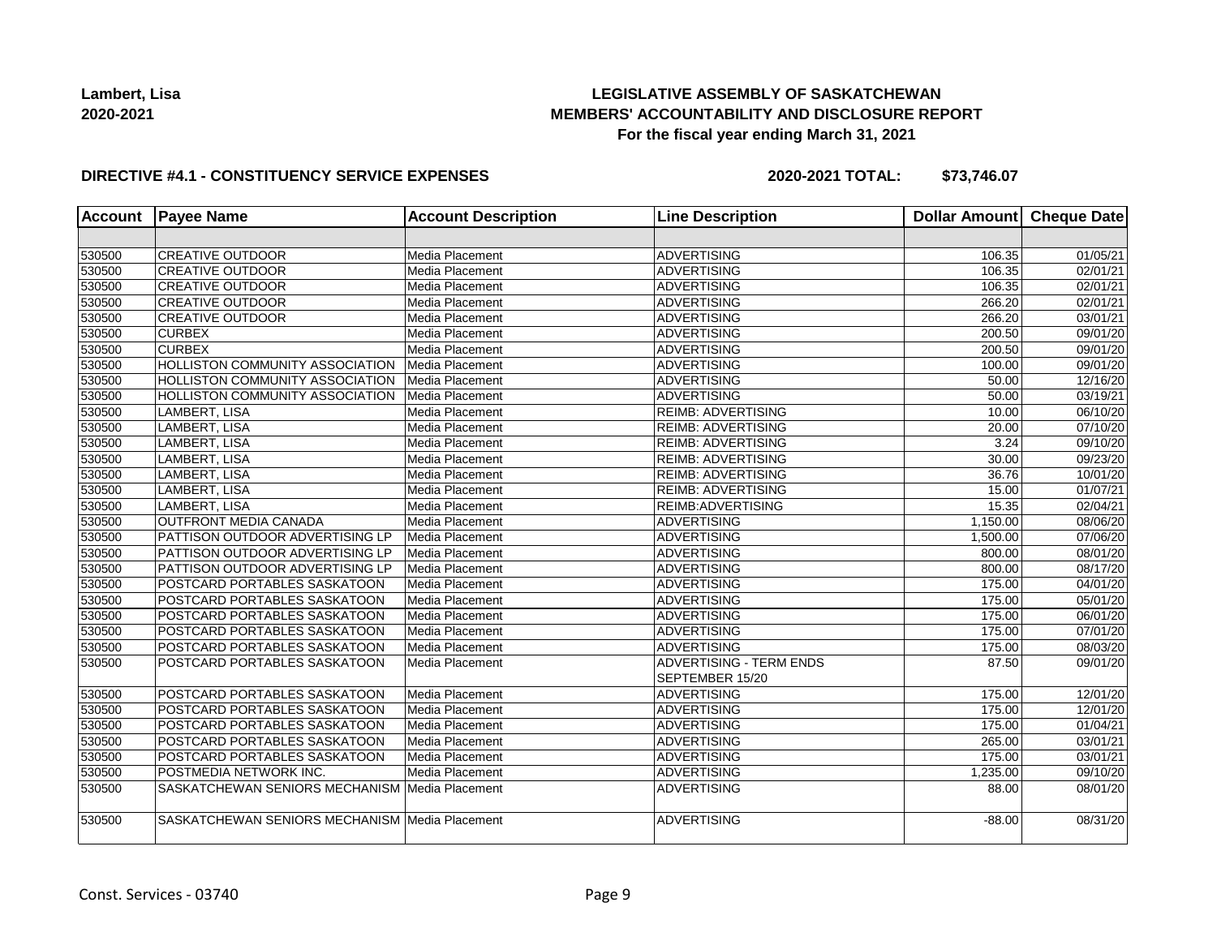## **LEGISLATIVE ASSEMBLY OF SASKATCHEWAN MEMBERS' ACCOUNTABILITY AND DISCLOSURE REPORT For the fiscal year ending March 31, 2021**

### **DIRECTIVE #4.1 - CONSTITUENCY SERVICE EXPENSES**

| <b>Account</b> | <b>Payee Name</b>                              | <b>Account Description</b> | <b>Line Description</b>                           | Dollar Amount Cheque Date |                       |
|----------------|------------------------------------------------|----------------------------|---------------------------------------------------|---------------------------|-----------------------|
|                |                                                |                            |                                                   |                           |                       |
| 530500         | <b>CREATIVE OUTDOOR</b>                        | Media Placement            | <b>ADVERTISING</b>                                | 106.35                    | 01/05/21              |
| 530500         | <b>CREATIVE OUTDOOR</b>                        | Media Placement            | <b>ADVERTISING</b>                                | 106.35                    | 02/01/21              |
| 530500         | <b>CREATIVE OUTDOOR</b>                        | Media Placement            | <b>ADVERTISING</b>                                | 106.35                    | 02/01/21              |
| 530500         | <b>CREATIVE OUTDOOR</b>                        | Media Placement            | <b>ADVERTISING</b>                                | 266.20                    | 02/01/21              |
| 530500         | <b>CREATIVE OUTDOOR</b>                        | Media Placement            | <b>ADVERTISING</b>                                | 266.20                    | 03/01/21              |
| 530500         | <b>CURBEX</b>                                  | Media Placement            | <b>ADVERTISING</b>                                | 200.50                    | 09/01/20              |
| 530500         | <b>CURBEX</b>                                  | Media Placement            | <b>ADVERTISING</b>                                | 200.50                    | 09/01/20              |
| 530500         | <b>HOLLISTON COMMUNITY ASSOCIATION</b>         | Media Placement            | <b>ADVERTISING</b>                                | 100.00                    | 09/01/20              |
| 530500         | <b>HOLLISTON COMMUNITY ASSOCIATION</b>         | Media Placement            | <b>ADVERTISING</b>                                | 50.00                     | 12/16/20              |
| 530500         | HOLLISTON COMMUNITY ASSOCIATION                | Media Placement            | <b>ADVERTISING</b>                                | 50.00                     | 03/19/21              |
| 530500         | LAMBERT, LISA                                  | Media Placement            | <b>REIMB: ADVERTISING</b>                         | 10.00                     | 06/10/20              |
| 530500         | LAMBERT, LISA                                  | Media Placement            | <b>REIMB: ADVERTISING</b>                         | 20.00                     | 07/10/20              |
| 530500         | LAMBERT, LISA                                  | Media Placement            | <b>REIMB: ADVERTISING</b>                         | 3.24                      | $\overline{09/1}0/20$ |
| 530500         | LAMBERT, LISA                                  | Media Placement            | <b>REIMB: ADVERTISING</b>                         | 30.00                     | 09/23/20              |
| 530500         | LAMBERT, LISA                                  | Media Placement            | <b>REIMB: ADVERTISING</b>                         | 36.76                     | 10/01/20              |
| 530500         | LAMBERT, LISA                                  | Media Placement            | <b>REIMB: ADVERTISING</b>                         | 15.00                     | 01/07/21              |
| 530500         | LAMBERT, LISA                                  | Media Placement            | REIMB: ADVERTISING                                | 15.35                     | 02/04/21              |
| 530500         | OUTFRONT MEDIA CANADA                          | Media Placement            | <b>ADVERTISING</b>                                | 1,150.00                  | 08/06/20              |
| 530500         | PATTISON OUTDOOR ADVERTISING LP                | Media Placement            | <b>ADVERTISING</b>                                | 1,500.00                  | 07/06/20              |
| 530500         | PATTISON OUTDOOR ADVERTISING LP                | Media Placement            | <b>ADVERTISING</b>                                | 800.00                    | 08/01/20              |
| 530500         | PATTISON OUTDOOR ADVERTISING LP                | Media Placement            | <b>ADVERTISING</b>                                | 800.00                    | 08/17/20              |
| 530500         | POSTCARD PORTABLES SASKATOON                   | Media Placement            | <b>ADVERTISING</b>                                | 175.00                    | 04/01/20              |
| 530500         | POSTCARD PORTABLES SASKATOON                   | Media Placement            | <b>ADVERTISING</b>                                | 175.00                    | 05/01/20              |
| 530500         | POSTCARD PORTABLES SASKATOON                   | Media Placement            | <b>ADVERTISING</b>                                | 175.00                    | 06/01/20              |
| 530500         | POSTCARD PORTABLES SASKATOON                   | Media Placement            | <b>ADVERTISING</b>                                | 175.00                    | 07/01/20              |
| 530500         | POSTCARD PORTABLES SASKATOON                   | Media Placement            | <b>ADVERTISING</b>                                | 175.00                    | 08/03/20              |
| 530500         | POSTCARD PORTABLES SASKATOON                   | Media Placement            | <b>ADVERTISING - TERM ENDS</b><br>SEPTEMBER 15/20 | 87.50                     | 09/01/20              |
| 530500         | POSTCARD PORTABLES SASKATOON                   | Media Placement            | <b>ADVERTISING</b>                                | 175.00                    | 12/01/20              |
| 530500         | POSTCARD PORTABLES SASKATOON                   | Media Placement            | <b>ADVERTISING</b>                                | 175.00                    | 12/01/20              |
| 530500         | POSTCARD PORTABLES SASKATOON                   | Media Placement            | <b>ADVERTISING</b>                                | 175.00                    | 01/04/21              |
| 530500         | POSTCARD PORTABLES SASKATOON                   | Media Placement            | <b>ADVERTISING</b>                                | 265.00                    | 03/01/21              |
| 530500         | POSTCARD PORTABLES SASKATOON                   | Media Placement            | <b>ADVERTISING</b>                                | 175.00                    | 03/01/21              |
| 530500         | POSTMEDIA NETWORK INC.                         | Media Placement            | <b>ADVERTISING</b>                                | 1,235.00                  | 09/10/20              |
| 530500         | SASKATCHEWAN SENIORS MECHANISM Media Placement |                            | <b>ADVERTISING</b>                                | 88.00                     | 08/01/20              |
| 530500         | SASKATCHEWAN SENIORS MECHANISM Media Placement |                            | <b>ADVERTISING</b>                                | $-88.00$                  | 08/31/20              |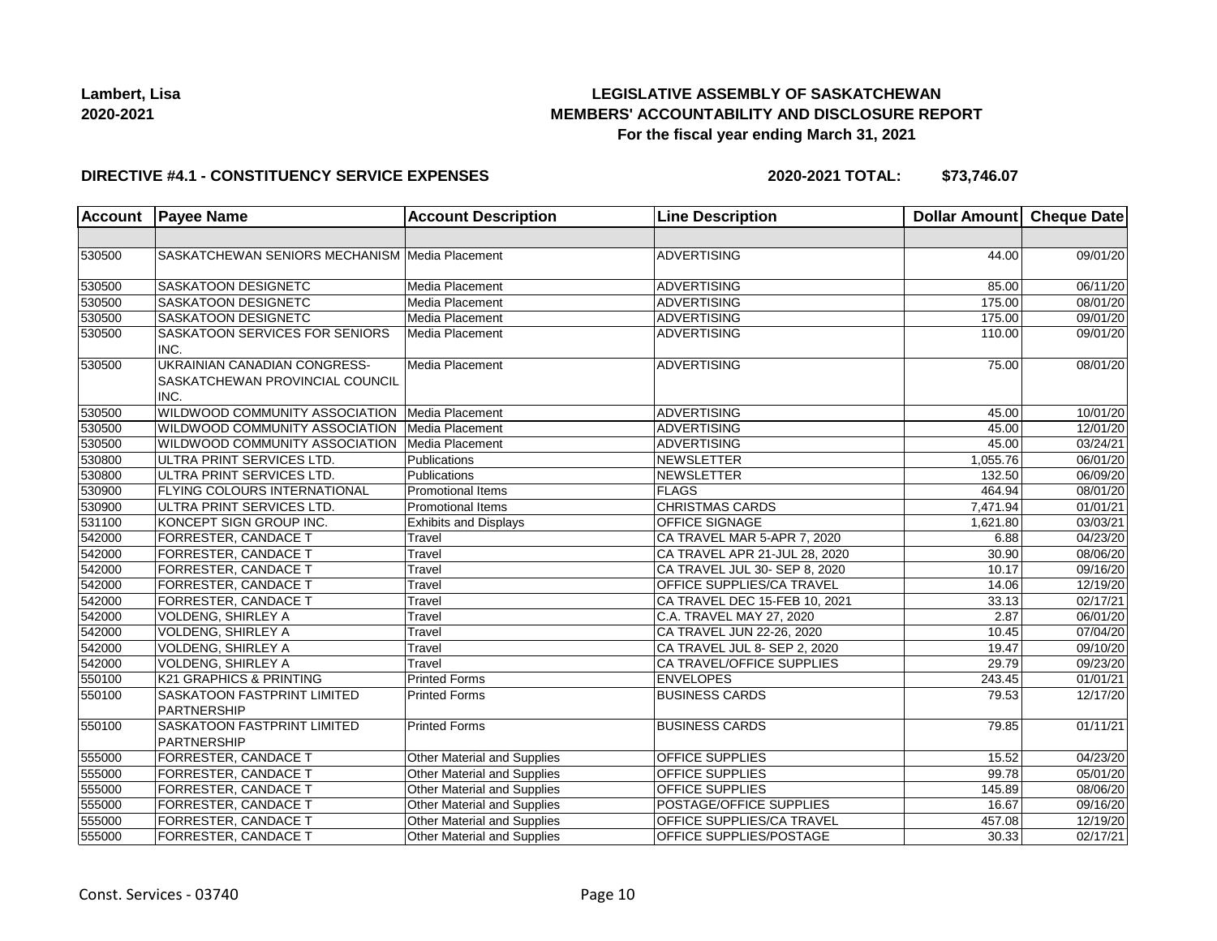

## **LEGISLATIVE ASSEMBLY OF SASKATCHEWAN MEMBERS' ACCOUNTABILITY AND DISCLOSURE REPORT For the fiscal year ending March 31, 2021**

#### **DIRECTIVE #4.1 - CONSTITUENCY SERVICE EXPENSES**

| <b>Account</b> | <b>Payee Name</b>                                                              | <b>Account Description</b>   | <b>Line Description</b>       | Dollar Amount | <b>Cheque Date</b> |
|----------------|--------------------------------------------------------------------------------|------------------------------|-------------------------------|---------------|--------------------|
|                |                                                                                |                              |                               |               |                    |
| 530500         | SASKATCHEWAN SENIORS MECHANISM Media Placement                                 |                              | <b>ADVERTISING</b>            | 44.00         | 09/01/20           |
| 530500         | SASKATOON DESIGNETC                                                            | Media Placement              | <b>ADVERTISING</b>            | 85.00         | 06/11/20           |
| 530500         | <b>SASKATOON DESIGNETC</b>                                                     | Media Placement              | <b>ADVERTISING</b>            | 175.00        | 08/01/20           |
| 530500         | SASKATOON DESIGNETC                                                            | Media Placement              | <b>ADVERTISING</b>            | 175.00        | 09/01/20           |
| 530500         | SASKATOON SERVICES FOR SENIORS<br>INC.                                         | Media Placement              | <b>ADVERTISING</b>            | 110.00        | 09/01/20           |
| 530500         | <b>UKRAINIAN CANADIAN CONGRESS-</b><br>SASKATCHEWAN PROVINCIAL COUNCIL<br>INC. | Media Placement              | <b>ADVERTISING</b>            | 75.00         | 08/01/20           |
| 530500         | WILDWOOD COMMUNITY ASSOCIATION   Media Placement                               |                              | <b>ADVERTISING</b>            | 45.00         | 10/01/20           |
| 530500         | WILDWOOD COMMUNITY ASSOCIATION                                                 | Media Placement              | <b>ADVERTISING</b>            | 45.00         | 12/01/20           |
| 530500         | WILDWOOD COMMUNITY ASSOCIATION   Media Placement                               |                              | <b>ADVERTISING</b>            | 45.00         | 03/24/21           |
| 530800         | ULTRA PRINT SERVICES LTD.                                                      | Publications                 | <b>NEWSLETTER</b>             | 1,055.76      | 06/01/20           |
| 530800         | ULTRA PRINT SERVICES LTD.                                                      | Publications                 | NEWSLETTER                    | 132.50        | 06/09/20           |
| 530900         | <b>FLYING COLOURS INTERNATIONAL</b>                                            | Promotional Items            | FLAGS                         | 464.94        | 08/01/20           |
| 530900         | ULTRA PRINT SERVICES LTD.                                                      | Promotional Items            | <b>CHRISTMAS CARDS</b>        | 7,471.94      | 01/01/21           |
| 531100         | KONCEPT SIGN GROUP INC.                                                        | <b>Exhibits and Displays</b> | OFFICE SIGNAGE                | 1,621.80      | 03/03/21           |
| 542000         | FORRESTER, CANDACE T                                                           | Travel                       | CA TRAVEL MAR 5-APR 7, 2020   | 6.88          | 04/23/20           |
| 542000         | FORRESTER, CANDACE T                                                           | Travel                       | CA TRAVEL APR 21-JUL 28, 2020 | 30.90         | 08/06/20           |
| 542000         | FORRESTER, CANDACE T                                                           | Travel                       | CA TRAVEL JUL 30- SEP 8, 2020 | 10.17         | 09/16/20           |
| 542000         | FORRESTER, CANDACE T                                                           | Travel                       | OFFICE SUPPLIES/CA TRAVEL     | 14.06         | 12/19/20           |
| 542000         | FORRESTER, CANDACE T                                                           | Travel                       | CA TRAVEL DEC 15-FEB 10, 2021 | 33.13         | 02/17/21           |
| 542000         | VOLDENG, SHIRLEY A                                                             | Travel                       | C.A. TRAVEL MAY 27, 2020      | 2.87          | 06/01/20           |
| 542000         | <b>VOLDENG, SHIRLEY A</b>                                                      | Travel                       | CA TRAVEL JUN 22-26, 2020     | 10.45         | 07/04/20           |
| 542000         | <b>VOLDENG, SHIRLEY A</b>                                                      | Travel                       | CA TRAVEL JUL 8- SEP 2, 2020  | 19.47         | 09/10/20           |
| 542000         | <b>VOLDENG, SHIRLEY A</b>                                                      | Travel                       | CA TRAVEL/OFFICE SUPPLIES     | 29.79         | 09/23/20           |
| 550100         | K21 GRAPHICS & PRINTING                                                        | <b>Printed Forms</b>         | <b>ENVELOPES</b>              | 243.45        | 01/01/21           |
| 550100         | SASKATOON FASTPRINT LIMITED<br><b>PARTNERSHIP</b>                              | <b>Printed Forms</b>         | <b>BUSINESS CARDS</b>         | 79.53         | 12/17/20           |
| 550100         | SASKATOON FASTPRINT LIMITED<br>PARTNERSHIP                                     | <b>Printed Forms</b>         | <b>BUSINESS CARDS</b>         | 79.85         | 01/11/21           |
| 555000         | FORRESTER, CANDACE T                                                           | Other Material and Supplies  | <b>OFFICE SUPPLIES</b>        | 15.52         | 04/23/20           |
| 555000         | FORRESTER, CANDACE T                                                           | Other Material and Supplies  | OFFICE SUPPLIES               | 99.78         | 05/01/20           |
| 555000         | FORRESTER, CANDACE T                                                           | Other Material and Supplies  | OFFICE SUPPLIES               | 145.89        | 08/06/20           |
| 555000         | FORRESTER, CANDACE T                                                           | Other Material and Supplies  | POSTAGE/OFFICE SUPPLIES       | 16.67         | 09/16/20           |
| 555000         | FORRESTER, CANDACE T                                                           | Other Material and Supplies  | OFFICE SUPPLIES/CA TRAVEL     | 457.08        | 12/19/20           |
| 555000         | FORRESTER, CANDACE T                                                           | Other Material and Supplies  | OFFICE SUPPLIES/POSTAGE       | 30.33         | 02/17/21           |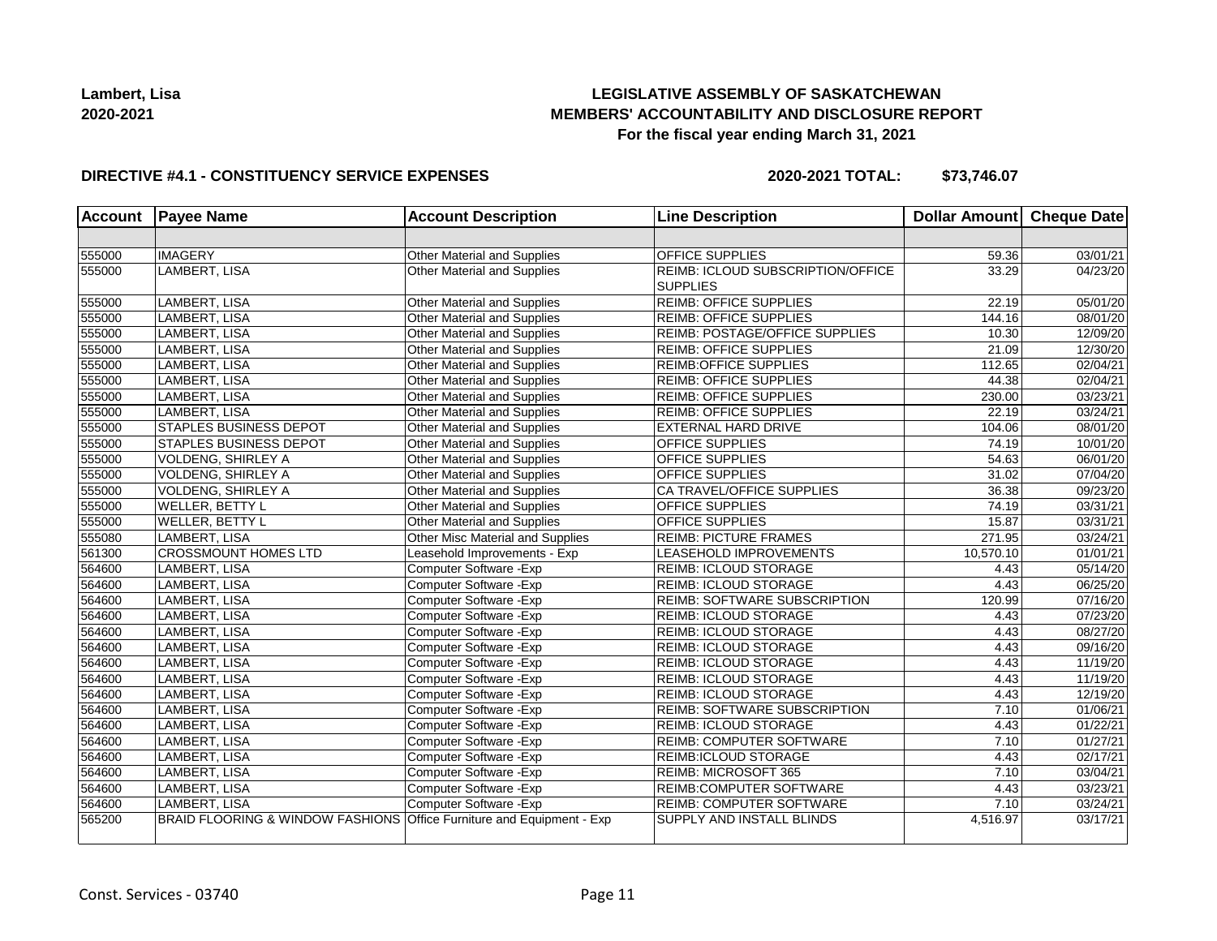## **LEGISLATIVE ASSEMBLY OF SASKATCHEWAN MEMBERS' ACCOUNTABILITY AND DISCLOSURE REPORT For the fiscal year ending March 31, 2021**

### **DIRECTIVE #4.1 - CONSTITUENCY SERVICE EXPENSES**

| <b>Account</b> | <b>Payee Name</b>                           | <b>Account Description</b>           | <b>Line Description</b>                                     | Dollar Amount Cheque Date |          |
|----------------|---------------------------------------------|--------------------------------------|-------------------------------------------------------------|---------------------------|----------|
|                |                                             |                                      |                                                             |                           |          |
| 555000         | <b>IMAGERY</b>                              | Other Material and Supplies          | <b>OFFICE SUPPLIES</b>                                      | 59.36                     | 03/01/21 |
| 555000         | LAMBERT, LISA                               | Other Material and Supplies          | <b>REIMB: ICLOUD SUBSCRIPTION/OFFICE</b><br><b>SUPPLIES</b> | 33.29                     | 04/23/20 |
| 555000         | LAMBERT, LISA                               | Other Material and Supplies          | REIMB: OFFICE SUPPLIES                                      | 22.19                     | 05/01/20 |
| 555000         | LAMBERT, LISA                               | Other Material and Supplies          | <b>REIMB: OFFICE SUPPLIES</b>                               | 144.16                    | 08/01/20 |
| 555000         | LAMBERT, LISA                               | Other Material and Supplies          | REIMB: POSTAGE/OFFICE SUPPLIES                              | 10.30                     | 12/09/20 |
| 555000         | LAMBERT, LISA                               | Other Material and Supplies          | <b>REIMB: OFFICE SUPPLIES</b>                               | 21.09                     | 12/30/20 |
| 555000         | LAMBERT, LISA                               | Other Material and Supplies          | REIMB: OFFICE SUPPLIES                                      | 112.65                    | 02/04/21 |
| 555000         | LAMBERT, LISA                               | Other Material and Supplies          | <b>REIMB: OFFICE SUPPLIES</b>                               | 44.38                     | 02/04/21 |
| 555000         | LAMBERT, LISA                               | Other Material and Supplies          | <b>REIMB: OFFICE SUPPLIES</b>                               | 230.00                    | 03/23/21 |
| 555000         | LAMBERT, LISA                               | Other Material and Supplies          | <b>REIMB: OFFICE SUPPLIES</b>                               | 22.19                     | 03/24/21 |
| 555000         | STAPLES BUSINESS DEPOT                      | Other Material and Supplies          | EXTERNAL HARD DRIVE                                         | 104.06                    | 08/01/20 |
| 555000         | <b>STAPLES BUSINESS DEPOT</b>               | Other Material and Supplies          | OFFICE SUPPLIES                                             | 74.19                     | 10/01/20 |
| 555000         | VOLDENG, SHIRLEY A                          | <b>Other Material and Supplies</b>   | OFFICE SUPPLIES                                             | 54.63                     | 06/01/20 |
| 555000         | <b>VOLDENG, SHIRLEY A</b>                   | Other Material and Supplies          | <b>OFFICE SUPPLIES</b>                                      | 31.02                     | 07/04/20 |
| 555000         | <b>VOLDENG, SHIRLEY A</b>                   | Other Material and Supplies          | CA TRAVEL/OFFICE SUPPLIES                                   | 36.38                     | 09/23/20 |
| 555000         | <b>WELLER, BETTY L</b>                      | Other Material and Supplies          | <b>OFFICE SUPPLIES</b>                                      | 74.19                     | 03/31/21 |
| 555000         | WELLER, BETTY L                             | Other Material and Supplies          | OFFICE SUPPLIES                                             | 15.87                     | 03/31/21 |
| 555080         | LAMBERT, LISA                               | Other Misc Material and Supplies     | <b>REIMB: PICTURE FRAMES</b>                                | 271.95                    | 03/24/21 |
| 561300         | <b>CROSSMOUNT HOMES LTD</b>                 | Leasehold Improvements - Exp         | LEASEHOLD IMPROVEMENTS                                      | 10,570.10                 | 01/01/21 |
| 564600         | LAMBERT, LISA                               | Computer Software - Exp              | REIMB: ICLOUD STORAGE                                       | 4.43                      | 05/14/20 |
| 564600         | LAMBERT, LISA                               | Computer Software - Exp              | REIMB: ICLOUD STORAGE                                       | 4.43                      | 06/25/20 |
| 564600         | LAMBERT, LISA                               | Computer Software - Exp              | REIMB: SOFTWARE SUBSCRIPTION                                | 120.99                    | 07/16/20 |
| 564600         | LAMBERT, LISA                               | Computer Software - Exp              | <b>REIMB: ICLOUD STORAGE</b>                                | 4.43                      | 07/23/20 |
| 564600         | LAMBERT, LISA                               | Computer Software - Exp              | <b>REIMB: ICLOUD STORAGE</b>                                | 4.43                      | 08/27/20 |
| 564600         | LAMBERT, LISA                               | Computer Software - Exp              | <b>REIMB: ICLOUD STORAGE</b>                                | 4.43                      | 09/16/20 |
| 564600         | LAMBERT, LISA                               | Computer Software - Exp              | REIMB: ICLOUD STORAGE                                       | 4.43                      | 11/19/20 |
| 564600         | LAMBERT, LISA                               | Computer Software - Exp              | REIMB: ICLOUD STORAGE                                       | 4.43                      | 11/19/20 |
| 564600         | LAMBERT, LISA                               | Computer Software - Exp              | <b>REIMB: ICLOUD STORAGE</b>                                | 4.43                      | 12/19/20 |
| 564600         | LAMBERT, LISA                               | Computer Software - Exp              | <b>REIMB: SOFTWARE SUBSCRIPTION</b>                         | 7.10                      | 01/06/21 |
| 564600         | LAMBERT, LISA                               | Computer Software - Exp              | <b>REIMB: ICLOUD STORAGE</b>                                | 4.43                      | 01/22/21 |
| 564600         | LAMBERT, LISA                               | Computer Software - Exp              | REIMB: COMPUTER SOFTWARE                                    | 7.10                      | 01/27/21 |
| 564600         | LAMBERT, LISA                               | Computer Software - Exp              | REIMB:ICLOUD STORAGE                                        | 4.43                      | 02/17/21 |
| 564600         | LAMBERT, LISA                               | Computer Software - Exp              | REIMB: MICROSOFT 365                                        | 7.10                      | 03/04/21 |
| 564600         | LAMBERT, LISA                               | Computer Software - Exp              | <b>REIMB:COMPUTER SOFTWARE</b>                              | 4.43                      | 03/23/21 |
| 564600         | LAMBERT, LISA                               | Computer Software - Exp              | <b>REIMB: COMPUTER SOFTWARE</b>                             | 7.10                      | 03/24/21 |
| 565200         | <b>BRAID FLOORING &amp; WINDOW FASHIONS</b> | Office Furniture and Equipment - Exp | SUPPLY AND INSTALL BLINDS                                   | 4,516.97                  | 03/17/21 |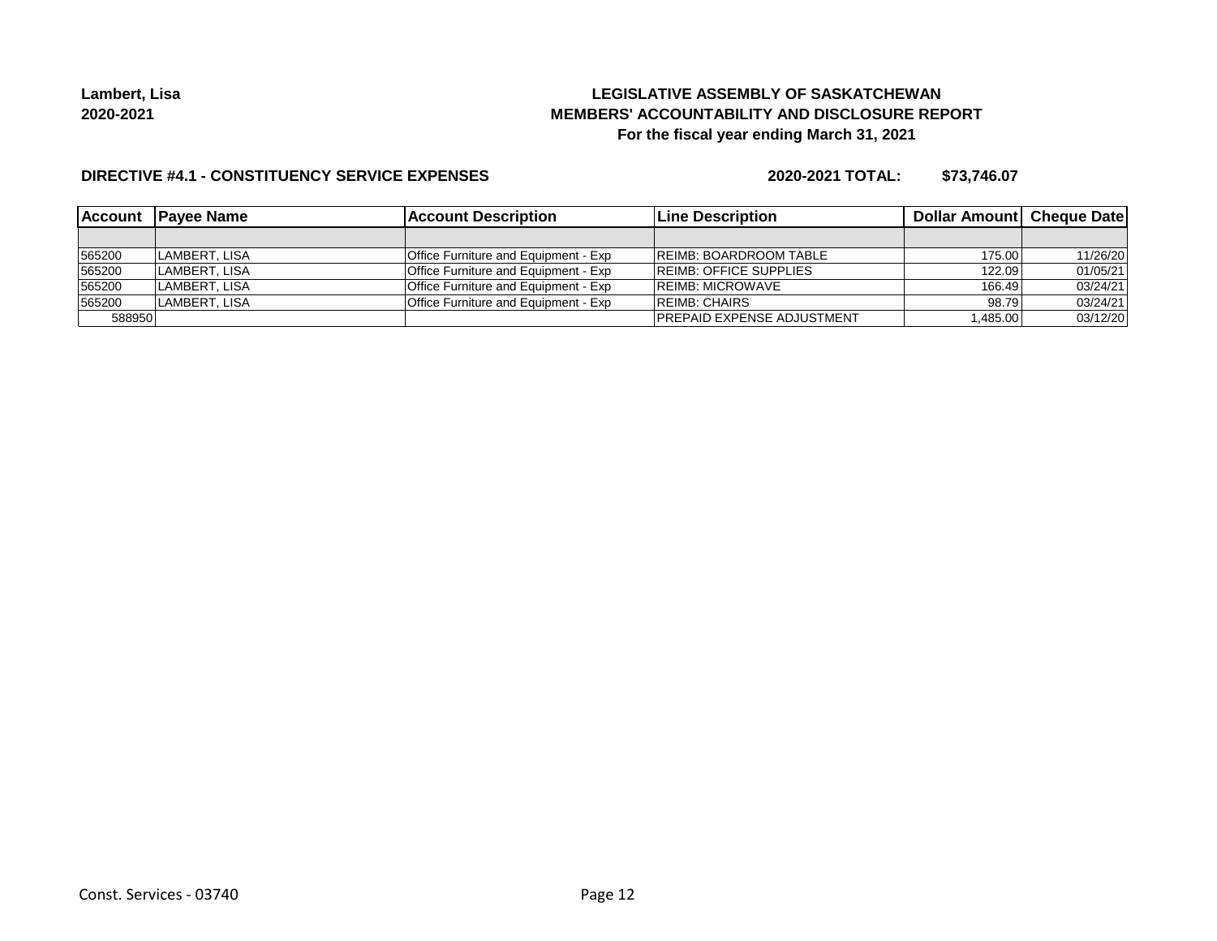## **LEGISLATIVE ASSEMBLY OF SASKATCHEWAN MEMBERS' ACCOUNTABILITY AND DISCLOSURE REPORT For the fiscal year ending March 31, 2021**

### **DIRECTIVE #4.1 - CONSTITUENCY SERVICE EXPENSES**

| <b>Account</b> | <b>IPavee Name</b> | <b>Account Description</b>           | <b>Line Description</b>            | Dollar Amount Cheque Date |          |
|----------------|--------------------|--------------------------------------|------------------------------------|---------------------------|----------|
|                |                    |                                      |                                    |                           |          |
| 565200         | LAMBERT. LISA      | Office Furniture and Equipment - Exp | <b>REIMB: BOARDROOM TABLE</b>      | 175.00                    | 11/26/20 |
| 565200         | LAMBERT. LISA      | Office Furniture and Equipment - Exp | <b>REIMB: OFFICE SUPPLIES</b>      | 122.09                    | 01/05/21 |
| 565200         | ILAMBERT. LISA     | Office Furniture and Equipment - Exp | <b>IREIMB: MICROWAVE</b>           | 166.49                    | 03/24/21 |
| 565200         | LAMBERT, LISA      | Office Furniture and Equipment - Exp | <b>IREIMB: CHAIRS</b>              | 98.79                     | 03/24/21 |
| 588950         |                    |                                      | <b>IPREPAID EXPENSE ADJUSTMENT</b> | .485.00                   | 03/12/20 |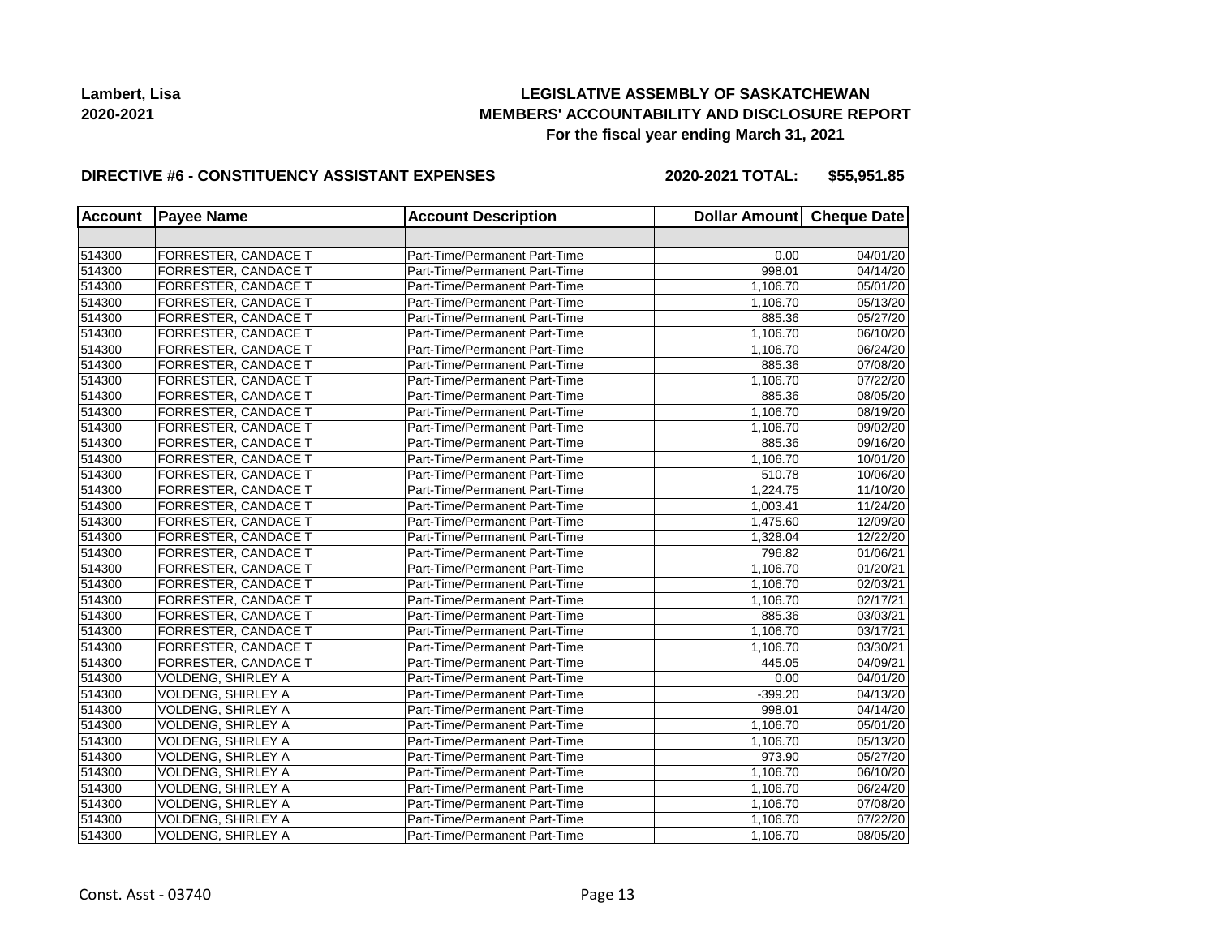## **LEGISLATIVE ASSEMBLY OF SASKATCHEWAN MEMBERS' ACCOUNTABILITY AND DISCLOSURE REPORT For the fiscal year ending March 31, 2021**

#### **DIRECTIVE #6 - CONSTITUENCY ASSISTANT EXPENSES**

**2020-2021 TOTAL: \$55,951.85**

| <b>Account</b> | <b>Payee Name</b>           | <b>Account Description</b>    | Dollar Amount Cheque Date |          |
|----------------|-----------------------------|-------------------------------|---------------------------|----------|
|                |                             |                               |                           |          |
| 514300         | <b>FORRESTER, CANDACE T</b> | Part-Time/Permanent Part-Time | 0.00                      | 04/01/20 |
| 514300         | <b>FORRESTER, CANDACE T</b> | Part-Time/Permanent Part-Time | 998.01                    | 04/14/20 |
| 514300         | FORRESTER, CANDACE T        | Part-Time/Permanent Part-Time | 1,106.70                  | 05/01/20 |
| 514300         | FORRESTER, CANDACE T        | Part-Time/Permanent Part-Time | 1,106.70                  | 05/13/20 |
| 514300         | FORRESTER, CANDACE T        | Part-Time/Permanent Part-Time | 885.36                    | 05/27/20 |
| 514300         | FORRESTER, CANDACE T        | Part-Time/Permanent Part-Time | 1,106.70                  | 06/10/20 |
| 514300         | FORRESTER, CANDACE T        | Part-Time/Permanent Part-Time | 1,106.70                  | 06/24/20 |
| 514300         | FORRESTER, CANDACE T        | Part-Time/Permanent Part-Time | 885.36                    | 07/08/20 |
| 514300         | FORRESTER, CANDACE T        | Part-Time/Permanent Part-Time | 1,106.70                  | 07/22/20 |
| 514300         | FORRESTER, CANDACE T        | Part-Time/Permanent Part-Time | 885.36                    | 08/05/20 |
| 514300         | <b>FORRESTER, CANDACE T</b> | Part-Time/Permanent Part-Time | 1.106.70                  | 08/19/20 |
| 514300         | FORRESTER, CANDACE T        | Part-Time/Permanent Part-Time | 1.106.70                  | 09/02/20 |
| 514300         | FORRESTER, CANDACE T        | Part-Time/Permanent Part-Time | 885.36                    | 09/16/20 |
| 514300         | FORRESTER, CANDACE T        | Part-Time/Permanent Part-Time | 1,106.70                  | 10/01/20 |
| 514300         | FORRESTER, CANDACE T        | Part-Time/Permanent Part-Time | 510.78                    | 10/06/20 |
| 514300         | FORRESTER, CANDACE T        | Part-Time/Permanent Part-Time | 1,224.75                  | 11/10/20 |
| 514300         | FORRESTER, CANDACE T        | Part-Time/Permanent Part-Time | 1,003.41                  | 11/24/20 |
| 514300         | FORRESTER, CANDACE T        | Part-Time/Permanent Part-Time | 1,475.60                  | 12/09/20 |
| 514300         | <b>FORRESTER, CANDACE T</b> | Part-Time/Permanent Part-Time | 1,328.04                  | 12/22/20 |
| 514300         | FORRESTER, CANDACE T        | Part-Time/Permanent Part-Time | 796.82                    | 01/06/21 |
| 514300         | FORRESTER, CANDACE T        | Part-Time/Permanent Part-Time | 1,106.70                  | 01/20/21 |
| 514300         | FORRESTER, CANDACE T        | Part-Time/Permanent Part-Time | 1,106.70                  | 02/03/21 |
| 514300         | FORRESTER, CANDACE T        | Part-Time/Permanent Part-Time | 1,106.70                  | 02/17/21 |
| 514300         | FORRESTER, CANDACE T        | Part-Time/Permanent Part-Time | 885.36                    | 03/03/21 |
| 514300         | <b>FORRESTER, CANDACE T</b> | Part-Time/Permanent Part-Time | 1,106.70                  | 03/17/21 |
| 514300         | <b>FORRESTER, CANDACE T</b> | Part-Time/Permanent Part-Time | 1.106.70                  | 03/30/21 |
| 514300         | FORRESTER, CANDACE T        | Part-Time/Permanent Part-Time | 445.05                    | 04/09/21 |
| 514300         | VOLDENG, SHIRLEY A          | Part-Time/Permanent Part-Time | 0.00                      | 04/01/20 |
| 514300         | <b>VOLDENG, SHIRLEY A</b>   | Part-Time/Permanent Part-Time | $-399.20$                 | 04/13/20 |
| 514300         | VOLDENG, SHIRLEY A          | Part-Time/Permanent Part-Time | 998.01                    | 04/14/20 |
| 514300         | VOLDENG, SHIRLEY A          | Part-Time/Permanent Part-Time | 1,106.70                  | 05/01/20 |
| 514300         | VOLDENG, SHIRLEY A          | Part-Time/Permanent Part-Time | 1,106.70                  | 05/13/20 |
| 514300         | VOLDENG, SHIRLEY A          | Part-Time/Permanent Part-Time | 973.90                    | 05/27/20 |
| 514300         | VOLDENG, SHIRLEY A          | Part-Time/Permanent Part-Time | 1,106.70                  | 06/10/20 |
| 514300         | <b>VOLDENG, SHIRLEY A</b>   | Part-Time/Permanent Part-Time | 1,106.70                  | 06/24/20 |
| 514300         | <b>VOLDENG, SHIRLEY A</b>   | Part-Time/Permanent Part-Time | 1,106.70                  | 07/08/20 |
| 514300         | VOLDENG, SHIRLEY A          | Part-Time/Permanent Part-Time | 1,106.70                  | 07/22/20 |
| 514300         | <b>VOLDENG, SHIRLEY A</b>   | Part-Time/Permanent Part-Time | 1,106.70                  | 08/05/20 |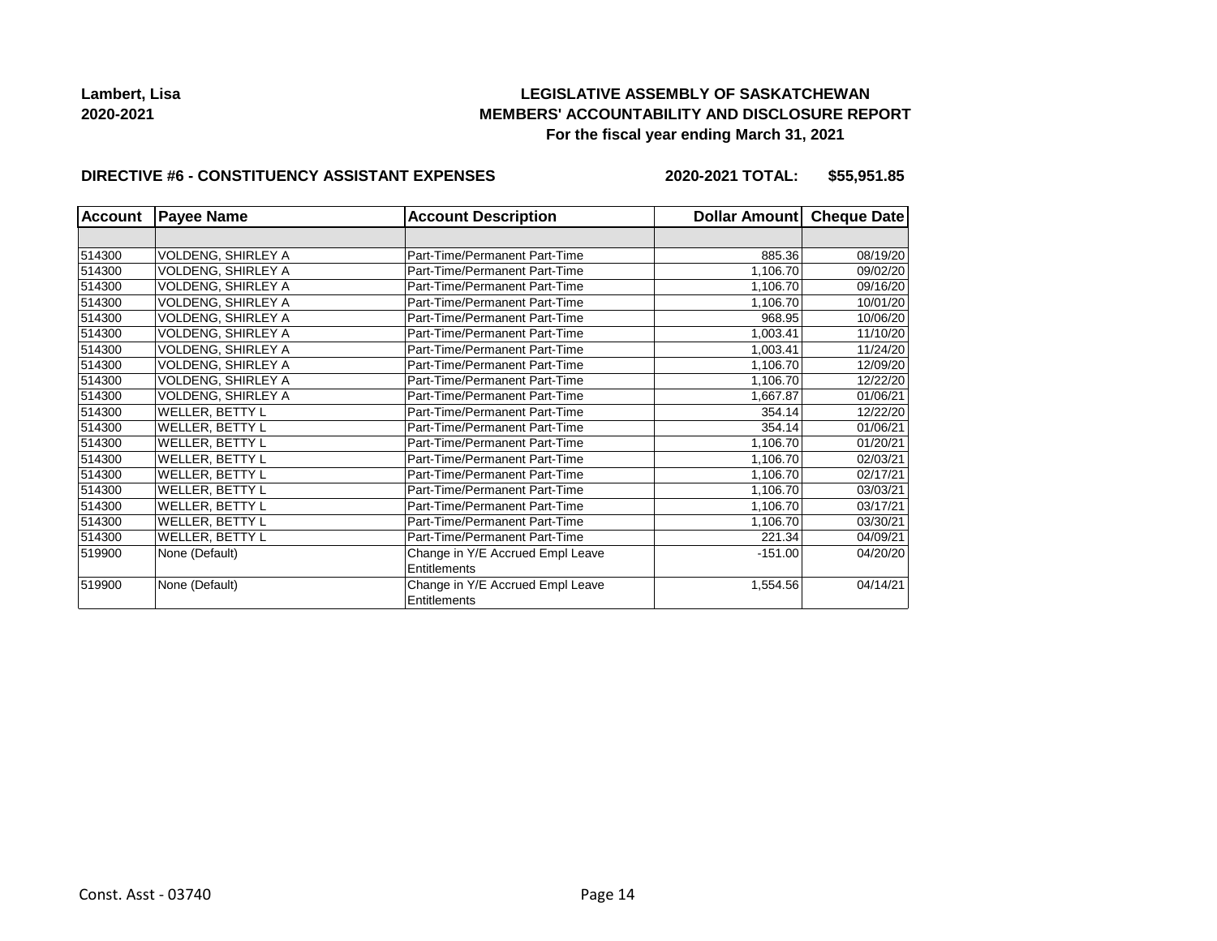## **LEGISLATIVE ASSEMBLY OF SASKATCHEWAN MEMBERS' ACCOUNTABILITY AND DISCLOSURE REPORT For the fiscal year ending March 31, 2021**

#### **DIRECTIVE #6 - CONSTITUENCY ASSISTANT EXPENSES**

**2020-2021 TOTAL: \$55,951.85**

| <b>Account</b> | <b>Payee Name</b>         | <b>Account Description</b>                       | Dollar Amount Cheque Date |          |
|----------------|---------------------------|--------------------------------------------------|---------------------------|----------|
|                |                           |                                                  |                           |          |
| 514300         | <b>VOLDENG, SHIRLEY A</b> | Part-Time/Permanent Part-Time                    | 885.36                    | 08/19/20 |
| 514300         | VOLDENG, SHIRLEY A        | Part-Time/Permanent Part-Time                    | 1,106.70                  | 09/02/20 |
| 514300         | <b>VOLDENG, SHIRLEY A</b> | Part-Time/Permanent Part-Time                    | 1,106.70                  | 09/16/20 |
| 514300         | VOLDENG, SHIRLEY A        | Part-Time/Permanent Part-Time                    | 1,106.70                  | 10/01/20 |
| 514300         | VOLDENG, SHIRLEY A        | Part-Time/Permanent Part-Time                    | 968.95                    | 10/06/20 |
| 514300         | VOLDENG, SHIRLEY A        | Part-Time/Permanent Part-Time                    | 1,003.41                  | 11/10/20 |
| 514300         | <b>VOLDENG, SHIRLEY A</b> | Part-Time/Permanent Part-Time                    | 1,003.41                  | 11/24/20 |
| 514300         | <b>VOLDENG, SHIRLEY A</b> | Part-Time/Permanent Part-Time                    | 1,106.70                  | 12/09/20 |
| 514300         | <b>VOLDENG, SHIRLEY A</b> | Part-Time/Permanent Part-Time                    | 1,106.70                  | 12/22/20 |
| 514300         | VOLDENG, SHIRLEY A        | Part-Time/Permanent Part-Time                    | 1,667.87                  | 01/06/21 |
| 514300         | WELLER, BETTY L           | Part-Time/Permanent Part-Time                    | 354.14                    | 12/22/20 |
| 514300         | <b>WELLER, BETTY L</b>    | Part-Time/Permanent Part-Time                    | 354.14                    | 01/06/21 |
| 514300         | WELLER, BETTY L           | Part-Time/Permanent Part-Time                    | 1,106.70                  | 01/20/21 |
| 514300         | WELLER, BETTY L           | Part-Time/Permanent Part-Time                    | 1,106.70                  | 02/03/21 |
| 514300         | WELLER, BETTY L           | Part-Time/Permanent Part-Time                    | 1,106.70                  | 02/17/21 |
| 514300         | WELLER, BETTY L           | Part-Time/Permanent Part-Time                    | 1,106.70                  | 03/03/21 |
| 514300         | WELLER, BETTY L           | Part-Time/Permanent Part-Time                    | 1,106.70                  | 03/17/21 |
| 514300         | WELLER, BETTY L           | Part-Time/Permanent Part-Time                    | 1,106.70                  | 03/30/21 |
| 514300         | WELLER, BETTY L           | Part-Time/Permanent Part-Time                    | 221.34                    | 04/09/21 |
| 519900         | None (Default)            | Change in Y/E Accrued Empl Leave                 | $-151.00$                 | 04/20/20 |
|                |                           | Entitlements                                     |                           |          |
| 519900         | None (Default)            | Change in Y/E Accrued Empl Leave<br>Entitlements | 1,554.56                  | 04/14/21 |